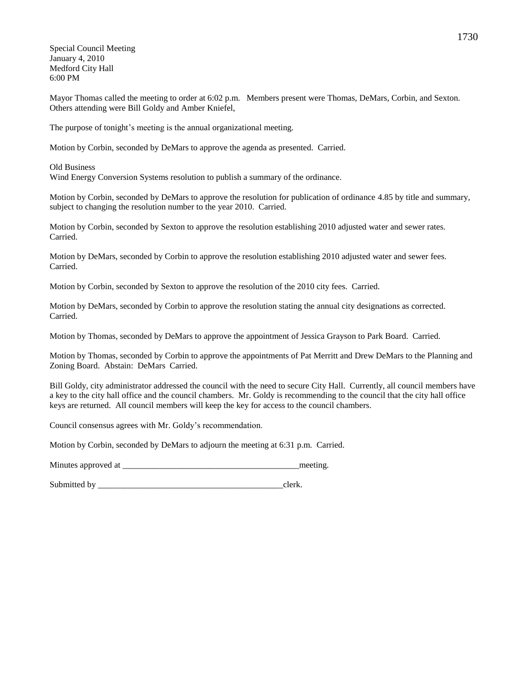Special Council Meeting January 4, 2010 Medford City Hall 6:00 PM

Mayor Thomas called the meeting to order at 6:02 p.m. Members present were Thomas, DeMars, Corbin, and Sexton. Others attending were Bill Goldy and Amber Kniefel,

The purpose of tonight's meeting is the annual organizational meeting.

Motion by Corbin, seconded by DeMars to approve the agenda as presented. Carried.

Old Business Wind Energy Conversion Systems resolution to publish a summary of the ordinance.

Motion by Corbin, seconded by DeMars to approve the resolution for publication of ordinance 4.85 by title and summary, subject to changing the resolution number to the year 2010. Carried.

Motion by Corbin, seconded by Sexton to approve the resolution establishing 2010 adjusted water and sewer rates. Carried.

Motion by DeMars, seconded by Corbin to approve the resolution establishing 2010 adjusted water and sewer fees. Carried.

Motion by Corbin, seconded by Sexton to approve the resolution of the 2010 city fees. Carried.

Motion by DeMars, seconded by Corbin to approve the resolution stating the annual city designations as corrected. Carried.

Motion by Thomas, seconded by DeMars to approve the appointment of Jessica Grayson to Park Board. Carried.

Motion by Thomas, seconded by Corbin to approve the appointments of Pat Merritt and Drew DeMars to the Planning and Zoning Board. Abstain: DeMars Carried.

Bill Goldy, city administrator addressed the council with the need to secure City Hall. Currently, all council members have a key to the city hall office and the council chambers. Mr. Goldy is recommending to the council that the city hall office keys are returned. All council members will keep the key for access to the council chambers.

Council consensus agrees with Mr. Goldy's recommendation.

Motion by Corbin, seconded by DeMars to adjourn the meeting at 6:31 p.m. Carried.

Minutes approved at \_\_\_\_\_\_\_\_\_\_\_\_\_\_\_\_\_\_\_\_\_\_\_\_\_\_\_\_\_\_\_\_\_\_\_\_\_\_\_\_\_meeting.

Submitted by clerk.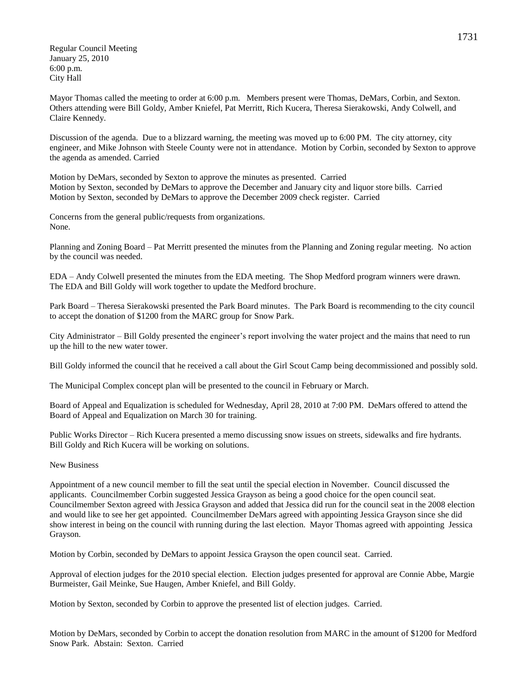Regular Council Meeting January 25, 2010 6:00 p.m. City Hall

Mayor Thomas called the meeting to order at 6:00 p.m. Members present were Thomas, DeMars, Corbin, and Sexton. Others attending were Bill Goldy, Amber Kniefel, Pat Merritt, Rich Kucera, Theresa Sierakowski, Andy Colwell, and Claire Kennedy.

Discussion of the agenda. Due to a blizzard warning, the meeting was moved up to 6:00 PM. The city attorney, city engineer, and Mike Johnson with Steele County were not in attendance. Motion by Corbin, seconded by Sexton to approve the agenda as amended. Carried

Motion by DeMars, seconded by Sexton to approve the minutes as presented. Carried Motion by Sexton, seconded by DeMars to approve the December and January city and liquor store bills. Carried Motion by Sexton, seconded by DeMars to approve the December 2009 check register. Carried

Concerns from the general public/requests from organizations. None.

Planning and Zoning Board – Pat Merritt presented the minutes from the Planning and Zoning regular meeting. No action by the council was needed.

EDA – Andy Colwell presented the minutes from the EDA meeting. The Shop Medford program winners were drawn. The EDA and Bill Goldy will work together to update the Medford brochure.

Park Board – Theresa Sierakowski presented the Park Board minutes. The Park Board is recommending to the city council to accept the donation of \$1200 from the MARC group for Snow Park.

City Administrator – Bill Goldy presented the engineer's report involving the water project and the mains that need to run up the hill to the new water tower.

Bill Goldy informed the council that he received a call about the Girl Scout Camp being decommissioned and possibly sold.

The Municipal Complex concept plan will be presented to the council in February or March.

Board of Appeal and Equalization is scheduled for Wednesday, April 28, 2010 at 7:00 PM. DeMars offered to attend the Board of Appeal and Equalization on March 30 for training.

Public Works Director – Rich Kucera presented a memo discussing snow issues on streets, sidewalks and fire hydrants. Bill Goldy and Rich Kucera will be working on solutions.

## New Business

Appointment of a new council member to fill the seat until the special election in November. Council discussed the applicants. Councilmember Corbin suggested Jessica Grayson as being a good choice for the open council seat. Councilmember Sexton agreed with Jessica Grayson and added that Jessica did run for the council seat in the 2008 election and would like to see her get appointed. Councilmember DeMars agreed with appointing Jessica Grayson since she did show interest in being on the council with running during the last election. Mayor Thomas agreed with appointing Jessica Grayson.

Motion by Corbin, seconded by DeMars to appoint Jessica Grayson the open council seat. Carried.

Approval of election judges for the 2010 special election. Election judges presented for approval are Connie Abbe, Margie Burmeister, Gail Meinke, Sue Haugen, Amber Kniefel, and Bill Goldy.

Motion by Sexton, seconded by Corbin to approve the presented list of election judges. Carried.

Motion by DeMars, seconded by Corbin to accept the donation resolution from MARC in the amount of \$1200 for Medford Snow Park. Abstain: Sexton. Carried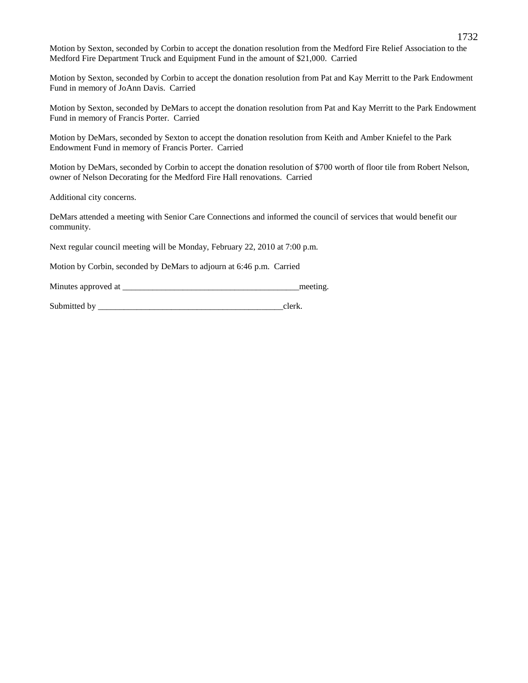Motion by Sexton, seconded by Corbin to accept the donation resolution from the Medford Fire Relief Association to the Medford Fire Department Truck and Equipment Fund in the amount of \$21,000. Carried

Motion by Sexton, seconded by Corbin to accept the donation resolution from Pat and Kay Merritt to the Park Endowment Fund in memory of JoAnn Davis. Carried

Motion by Sexton, seconded by DeMars to accept the donation resolution from Pat and Kay Merritt to the Park Endowment Fund in memory of Francis Porter. Carried

Motion by DeMars, seconded by Sexton to accept the donation resolution from Keith and Amber Kniefel to the Park Endowment Fund in memory of Francis Porter. Carried

Motion by DeMars, seconded by Corbin to accept the donation resolution of \$700 worth of floor tile from Robert Nelson, owner of Nelson Decorating for the Medford Fire Hall renovations. Carried

Additional city concerns.

DeMars attended a meeting with Senior Care Connections and informed the council of services that would benefit our community.

Next regular council meeting will be Monday, February 22, 2010 at 7:00 p.m.

Motion by Corbin, seconded by DeMars to adjourn at 6:46 p.m. Carried

Minutes approved at the setting and the setting meeting.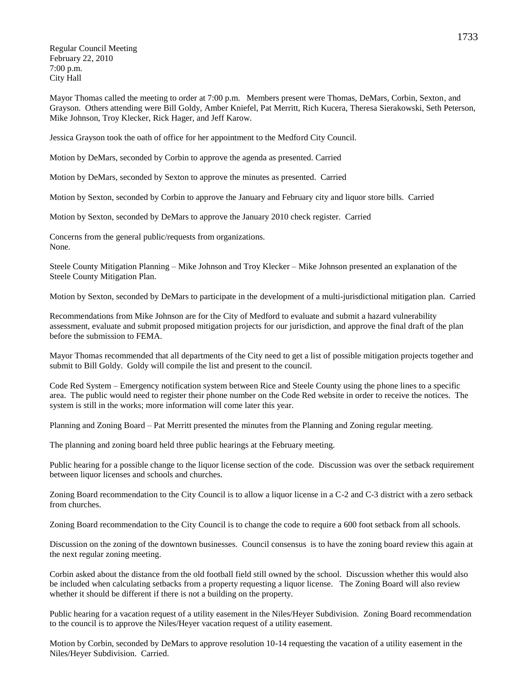Regular Council Meeting February 22, 2010 7:00 p.m. City Hall

Mayor Thomas called the meeting to order at 7:00 p.m. Members present were Thomas, DeMars, Corbin, Sexton, and Grayson. Others attending were Bill Goldy, Amber Kniefel, Pat Merritt, Rich Kucera, Theresa Sierakowski, Seth Peterson, Mike Johnson, Troy Klecker, Rick Hager, and Jeff Karow.

Jessica Grayson took the oath of office for her appointment to the Medford City Council.

Motion by DeMars, seconded by Corbin to approve the agenda as presented. Carried

Motion by DeMars, seconded by Sexton to approve the minutes as presented. Carried

Motion by Sexton, seconded by Corbin to approve the January and February city and liquor store bills. Carried

Motion by Sexton, seconded by DeMars to approve the January 2010 check register. Carried

Concerns from the general public/requests from organizations. None.

Steele County Mitigation Planning – Mike Johnson and Troy Klecker – Mike Johnson presented an explanation of the Steele County Mitigation Plan.

Motion by Sexton, seconded by DeMars to participate in the development of a multi-jurisdictional mitigation plan. Carried

Recommendations from Mike Johnson are for the City of Medford to evaluate and submit a hazard vulnerability assessment, evaluate and submit proposed mitigation projects for our jurisdiction, and approve the final draft of the plan before the submission to FEMA.

Mayor Thomas recommended that all departments of the City need to get a list of possible mitigation projects together and submit to Bill Goldy. Goldy will compile the list and present to the council.

Code Red System – Emergency notification system between Rice and Steele County using the phone lines to a specific area. The public would need to register their phone number on the Code Red website in order to receive the notices. The system is still in the works; more information will come later this year.

Planning and Zoning Board – Pat Merritt presented the minutes from the Planning and Zoning regular meeting.

The planning and zoning board held three public hearings at the February meeting.

Public hearing for a possible change to the liquor license section of the code. Discussion was over the setback requirement between liquor licenses and schools and churches.

Zoning Board recommendation to the City Council is to allow a liquor license in a C-2 and C-3 district with a zero setback from churches.

Zoning Board recommendation to the City Council is to change the code to require a 600 foot setback from all schools.

Discussion on the zoning of the downtown businesses. Council consensus is to have the zoning board review this again at the next regular zoning meeting.

Corbin asked about the distance from the old football field still owned by the school. Discussion whether this would also be included when calculating setbacks from a property requesting a liquor license. The Zoning Board will also review whether it should be different if there is not a building on the property.

Public hearing for a vacation request of a utility easement in the Niles/Heyer Subdivision. Zoning Board recommendation to the council is to approve the Niles/Heyer vacation request of a utility easement.

Motion by Corbin, seconded by DeMars to approve resolution 10-14 requesting the vacation of a utility easement in the Niles/Heyer Subdivision. Carried.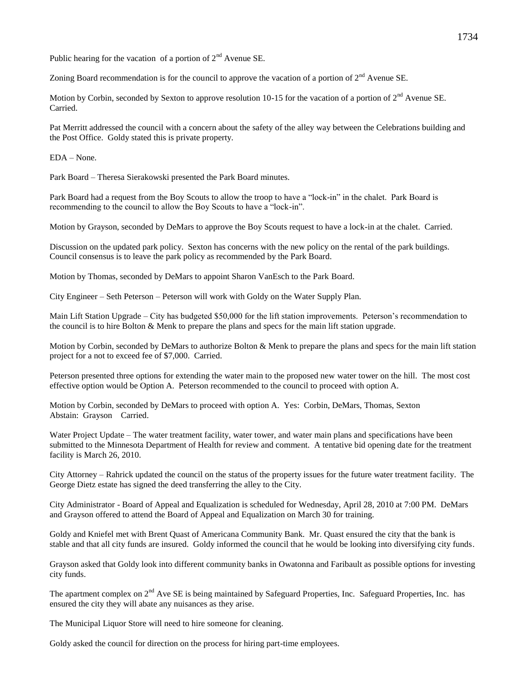Public hearing for the vacation of a portion of  $2<sup>nd</sup>$  Avenue SE.

Zoning Board recommendation is for the council to approve the vacation of a portion of  $2<sup>nd</sup>$  Avenue SE.

Motion by Corbin, seconded by Sexton to approve resolution 10-15 for the vacation of a portion of  $2<sup>nd</sup>$  Avenue SE. Carried.

Pat Merritt addressed the council with a concern about the safety of the alley way between the Celebrations building and the Post Office. Goldy stated this is private property.

EDA – None.

Park Board – Theresa Sierakowski presented the Park Board minutes.

Park Board had a request from the Boy Scouts to allow the troop to have a "lock-in" in the chalet. Park Board is recommending to the council to allow the Boy Scouts to have a "lock-in".

Motion by Grayson, seconded by DeMars to approve the Boy Scouts request to have a lock-in at the chalet. Carried.

Discussion on the updated park policy. Sexton has concerns with the new policy on the rental of the park buildings. Council consensus is to leave the park policy as recommended by the Park Board.

Motion by Thomas, seconded by DeMars to appoint Sharon VanEsch to the Park Board.

City Engineer – Seth Peterson – Peterson will work with Goldy on the Water Supply Plan.

Main Lift Station Upgrade – City has budgeted \$50,000 for the lift station improvements. Peterson's recommendation to the council is to hire Bolton & Menk to prepare the plans and specs for the main lift station upgrade.

Motion by Corbin, seconded by DeMars to authorize Bolton & Menk to prepare the plans and specs for the main lift station project for a not to exceed fee of \$7,000. Carried.

Peterson presented three options for extending the water main to the proposed new water tower on the hill. The most cost effective option would be Option A. Peterson recommended to the council to proceed with option A.

Motion by Corbin, seconded by DeMars to proceed with option A. Yes: Corbin, DeMars, Thomas, Sexton Abstain: Grayson Carried.

Water Project Update – The water treatment facility, water tower, and water main plans and specifications have been submitted to the Minnesota Department of Health for review and comment. A tentative bid opening date for the treatment facility is March 26, 2010.

City Attorney – Rahrick updated the council on the status of the property issues for the future water treatment facility. The George Dietz estate has signed the deed transferring the alley to the City.

City Administrator - Board of Appeal and Equalization is scheduled for Wednesday, April 28, 2010 at 7:00 PM. DeMars and Grayson offered to attend the Board of Appeal and Equalization on March 30 for training.

Goldy and Kniefel met with Brent Quast of Americana Community Bank. Mr. Quast ensured the city that the bank is stable and that all city funds are insured. Goldy informed the council that he would be looking into diversifying city funds.

Grayson asked that Goldy look into different community banks in Owatonna and Faribault as possible options for investing city funds.

The apartment complex on 2<sup>nd</sup> Ave SE is being maintained by Safeguard Properties, Inc. Safeguard Properties, Inc. has ensured the city they will abate any nuisances as they arise.

The Municipal Liquor Store will need to hire someone for cleaning.

Goldy asked the council for direction on the process for hiring part-time employees.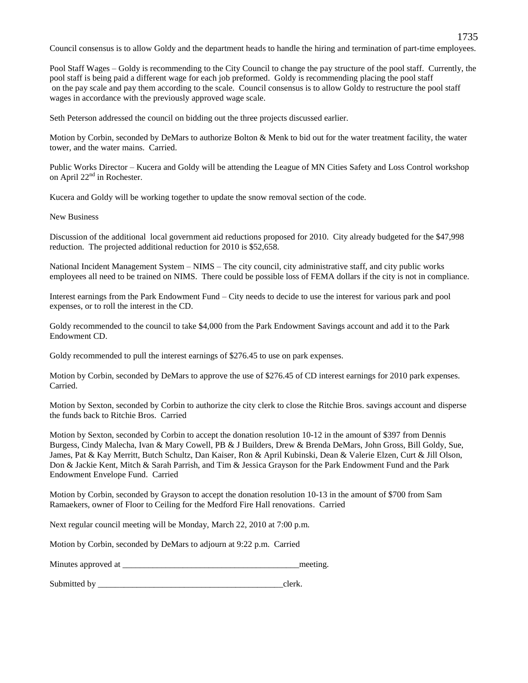Council consensus is to allow Goldy and the department heads to handle the hiring and termination of part-time employees.

Pool Staff Wages – Goldy is recommending to the City Council to change the pay structure of the pool staff. Currently, the pool staff is being paid a different wage for each job preformed. Goldy is recommending placing the pool staff on the pay scale and pay them according to the scale. Council consensus is to allow Goldy to restructure the pool staff wages in accordance with the previously approved wage scale.

Seth Peterson addressed the council on bidding out the three projects discussed earlier.

Motion by Corbin, seconded by DeMars to authorize Bolton & Menk to bid out for the water treatment facility, the water tower, and the water mains. Carried.

Public Works Director – Kucera and Goldy will be attending the League of MN Cities Safety and Loss Control workshop on April 22<sup>nd</sup> in Rochester.

Kucera and Goldy will be working together to update the snow removal section of the code.

New Business

Discussion of the additional local government aid reductions proposed for 2010. City already budgeted for the \$47,998 reduction. The projected additional reduction for 2010 is \$52,658.

National Incident Management System – NIMS – The city council, city administrative staff, and city public works employees all need to be trained on NIMS. There could be possible loss of FEMA dollars if the city is not in compliance.

Interest earnings from the Park Endowment Fund – City needs to decide to use the interest for various park and pool expenses, or to roll the interest in the CD.

Goldy recommended to the council to take \$4,000 from the Park Endowment Savings account and add it to the Park Endowment CD.

Goldy recommended to pull the interest earnings of \$276.45 to use on park expenses.

Motion by Corbin, seconded by DeMars to approve the use of \$276.45 of CD interest earnings for 2010 park expenses. Carried.

Motion by Sexton, seconded by Corbin to authorize the city clerk to close the Ritchie Bros. savings account and disperse the funds back to Ritchie Bros. Carried

Motion by Sexton, seconded by Corbin to accept the donation resolution 10-12 in the amount of \$397 from Dennis Burgess, Cindy Malecha, Ivan & Mary Cowell, PB & J Builders, Drew & Brenda DeMars, John Gross, Bill Goldy, Sue, James, Pat & Kay Merritt, Butch Schultz, Dan Kaiser, Ron & April Kubinski, Dean & Valerie Elzen, Curt & Jill Olson, Don & Jackie Kent, Mitch & Sarah Parrish, and Tim & Jessica Grayson for the Park Endowment Fund and the Park Endowment Envelope Fund. Carried

Motion by Corbin, seconded by Grayson to accept the donation resolution 10-13 in the amount of \$700 from Sam Ramaekers, owner of Floor to Ceiling for the Medford Fire Hall renovations. Carried

Next regular council meeting will be Monday, March 22, 2010 at 7:00 p.m.

Motion by Corbin, seconded by DeMars to adjourn at 9:22 p.m. Carried

| Minutes approved at | meeting. |
|---------------------|----------|
|                     |          |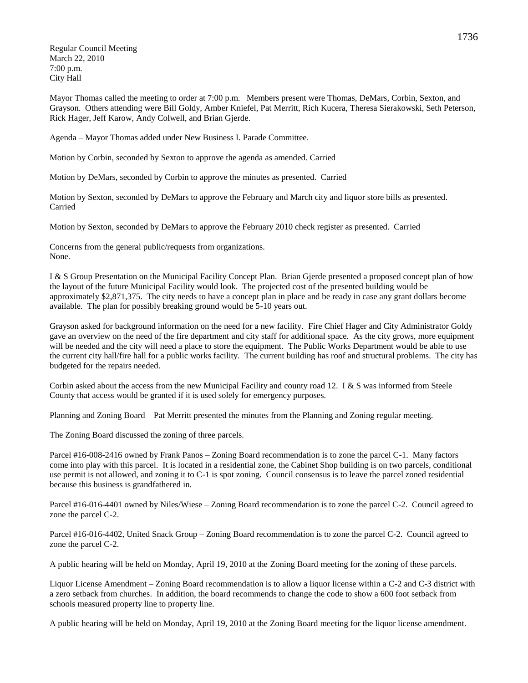Regular Council Meeting March 22, 2010 7:00 p.m. City Hall

Mayor Thomas called the meeting to order at 7:00 p.m. Members present were Thomas, DeMars, Corbin, Sexton, and Grayson. Others attending were Bill Goldy, Amber Kniefel, Pat Merritt, Rich Kucera, Theresa Sierakowski, Seth Peterson, Rick Hager, Jeff Karow, Andy Colwell, and Brian Gjerde.

Agenda – Mayor Thomas added under New Business I. Parade Committee.

Motion by Corbin, seconded by Sexton to approve the agenda as amended. Carried

Motion by DeMars, seconded by Corbin to approve the minutes as presented. Carried

Motion by Sexton, seconded by DeMars to approve the February and March city and liquor store bills as presented. Carried

Motion by Sexton, seconded by DeMars to approve the February 2010 check register as presented. Carried

Concerns from the general public/requests from organizations. None.

I & S Group Presentation on the Municipal Facility Concept Plan. Brian Gjerde presented a proposed concept plan of how the layout of the future Municipal Facility would look. The projected cost of the presented building would be approximately \$2,871,375. The city needs to have a concept plan in place and be ready in case any grant dollars become available. The plan for possibly breaking ground would be 5-10 years out.

Grayson asked for background information on the need for a new facility. Fire Chief Hager and City Administrator Goldy gave an overview on the need of the fire department and city staff for additional space. As the city grows, more equipment will be needed and the city will need a place to store the equipment. The Public Works Department would be able to use the current city hall/fire hall for a public works facility. The current building has roof and structural problems. The city has budgeted for the repairs needed.

Corbin asked about the access from the new Municipal Facility and county road 12. I & S was informed from Steele County that access would be granted if it is used solely for emergency purposes.

Planning and Zoning Board – Pat Merritt presented the minutes from the Planning and Zoning regular meeting.

The Zoning Board discussed the zoning of three parcels.

Parcel #16-008-2416 owned by Frank Panos – Zoning Board recommendation is to zone the parcel C-1. Many factors come into play with this parcel. It is located in a residential zone, the Cabinet Shop building is on two parcels, conditional use permit is not allowed, and zoning it to C-1 is spot zoning. Council consensus is to leave the parcel zoned residential because this business is grandfathered in.

Parcel #16-016-4401 owned by Niles/Wiese – Zoning Board recommendation is to zone the parcel C-2. Council agreed to zone the parcel C-2.

Parcel #16-016-4402, United Snack Group – Zoning Board recommendation is to zone the parcel C-2. Council agreed to zone the parcel C-2.

A public hearing will be held on Monday, April 19, 2010 at the Zoning Board meeting for the zoning of these parcels.

Liquor License Amendment – Zoning Board recommendation is to allow a liquor license within a C-2 and C-3 district with a zero setback from churches. In addition, the board recommends to change the code to show a 600 foot setback from schools measured property line to property line.

A public hearing will be held on Monday, April 19, 2010 at the Zoning Board meeting for the liquor license amendment.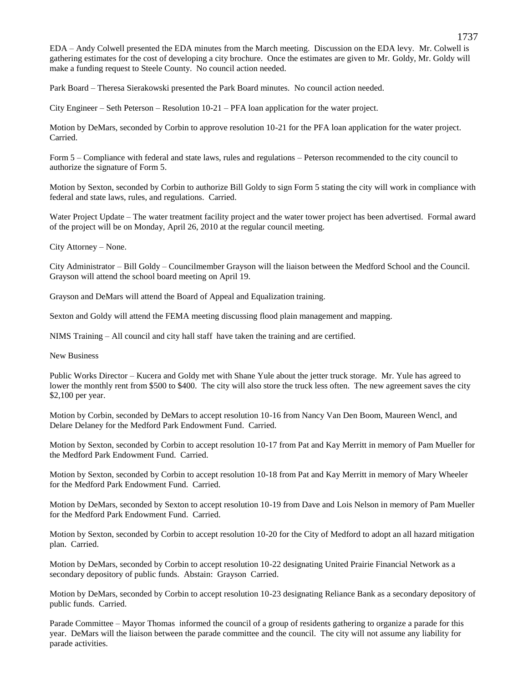EDA – Andy Colwell presented the EDA minutes from the March meeting. Discussion on the EDA levy. Mr. Colwell is gathering estimates for the cost of developing a city brochure. Once the estimates are given to Mr. Goldy, Mr. Goldy will make a funding request to Steele County. No council action needed.

Park Board – Theresa Sierakowski presented the Park Board minutes. No council action needed.

City Engineer – Seth Peterson – Resolution 10-21 – PFA loan application for the water project.

Motion by DeMars, seconded by Corbin to approve resolution 10-21 for the PFA loan application for the water project. Carried.

Form 5 – Compliance with federal and state laws, rules and regulations – Peterson recommended to the city council to authorize the signature of Form 5.

Motion by Sexton, seconded by Corbin to authorize Bill Goldy to sign Form 5 stating the city will work in compliance with federal and state laws, rules, and regulations. Carried.

Water Project Update – The water treatment facility project and the water tower project has been advertised. Formal award of the project will be on Monday, April 26, 2010 at the regular council meeting.

City Attorney – None.

City Administrator – Bill Goldy – Councilmember Grayson will the liaison between the Medford School and the Council. Grayson will attend the school board meeting on April 19.

Grayson and DeMars will attend the Board of Appeal and Equalization training.

Sexton and Goldy will attend the FEMA meeting discussing flood plain management and mapping.

NIMS Training – All council and city hall staff have taken the training and are certified.

New Business

Public Works Director – Kucera and Goldy met with Shane Yule about the jetter truck storage. Mr. Yule has agreed to lower the monthly rent from \$500 to \$400. The city will also store the truck less often. The new agreement saves the city \$2,100 per year.

Motion by Corbin, seconded by DeMars to accept resolution 10-16 from Nancy Van Den Boom, Maureen Wencl, and Delare Delaney for the Medford Park Endowment Fund. Carried.

Motion by Sexton, seconded by Corbin to accept resolution 10-17 from Pat and Kay Merritt in memory of Pam Mueller for the Medford Park Endowment Fund. Carried.

Motion by Sexton, seconded by Corbin to accept resolution 10-18 from Pat and Kay Merritt in memory of Mary Wheeler for the Medford Park Endowment Fund. Carried.

Motion by DeMars, seconded by Sexton to accept resolution 10-19 from Dave and Lois Nelson in memory of Pam Mueller for the Medford Park Endowment Fund. Carried.

Motion by Sexton, seconded by Corbin to accept resolution 10-20 for the City of Medford to adopt an all hazard mitigation plan. Carried.

Motion by DeMars, seconded by Corbin to accept resolution 10-22 designating United Prairie Financial Network as a secondary depository of public funds. Abstain: Grayson Carried.

Motion by DeMars, seconded by Corbin to accept resolution 10-23 designating Reliance Bank as a secondary depository of public funds. Carried.

Parade Committee – Mayor Thomas informed the council of a group of residents gathering to organize a parade for this year. DeMars will the liaison between the parade committee and the council. The city will not assume any liability for parade activities.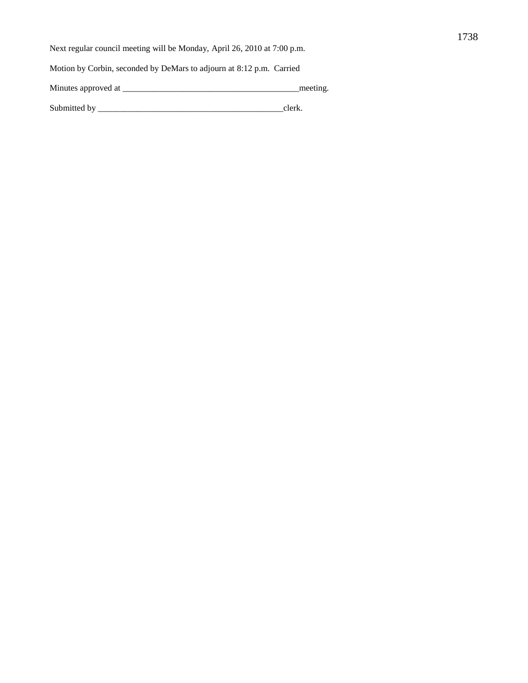Next regular council meeting will be Monday, April 26, 2010 at 7:00 p.m.

Motion by Corbin, seconded by DeMars to adjourn at 8:12 p.m. Carried

Minutes approved at \_\_\_\_\_\_\_\_\_\_\_\_\_\_\_\_\_\_\_\_\_\_\_\_\_\_\_\_\_\_\_\_\_\_\_\_\_\_\_\_\_meeting.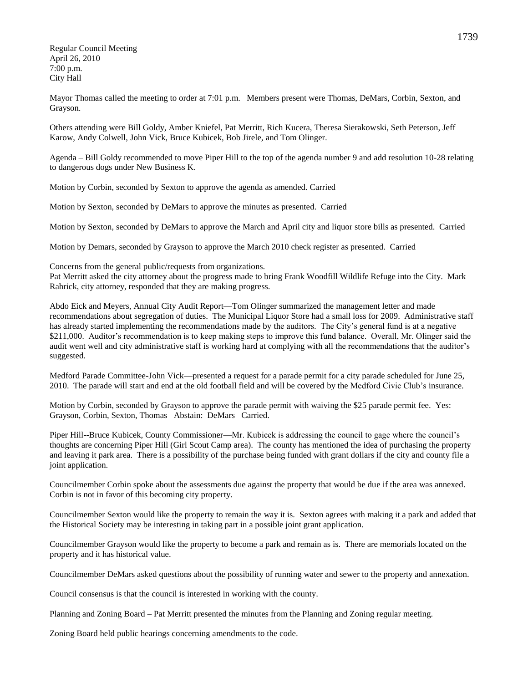Regular Council Meeting April 26, 2010 7:00 p.m. City Hall

Mayor Thomas called the meeting to order at 7:01 p.m. Members present were Thomas, DeMars, Corbin, Sexton, and Grayson.

Others attending were Bill Goldy, Amber Kniefel, Pat Merritt, Rich Kucera, Theresa Sierakowski, Seth Peterson, Jeff Karow, Andy Colwell, John Vick, Bruce Kubicek, Bob Jirele, and Tom Olinger.

Agenda – Bill Goldy recommended to move Piper Hill to the top of the agenda number 9 and add resolution 10-28 relating to dangerous dogs under New Business K.

Motion by Corbin, seconded by Sexton to approve the agenda as amended. Carried

Motion by Sexton, seconded by DeMars to approve the minutes as presented. Carried

Motion by Sexton, seconded by DeMars to approve the March and April city and liquor store bills as presented. Carried

Motion by Demars, seconded by Grayson to approve the March 2010 check register as presented. Carried

Concerns from the general public/requests from organizations.

Pat Merritt asked the city attorney about the progress made to bring Frank Woodfill Wildlife Refuge into the City. Mark Rahrick, city attorney, responded that they are making progress.

Abdo Eick and Meyers, Annual City Audit Report—Tom Olinger summarized the management letter and made recommendations about segregation of duties. The Municipal Liquor Store had a small loss for 2009. Administrative staff has already started implementing the recommendations made by the auditors. The City's general fund is at a negative \$211,000. Auditor's recommendation is to keep making steps to improve this fund balance. Overall, Mr. Olinger said the audit went well and city administrative staff is working hard at complying with all the recommendations that the auditor's suggested.

Medford Parade Committee-John Vick—presented a request for a parade permit for a city parade scheduled for June 25, 2010. The parade will start and end at the old football field and will be covered by the Medford Civic Club's insurance.

Motion by Corbin, seconded by Grayson to approve the parade permit with waiving the \$25 parade permit fee. Yes: Grayson, Corbin, Sexton, Thomas Abstain: DeMars Carried.

Piper Hill--Bruce Kubicek, County Commissioner—Mr. Kubicek is addressing the council to gage where the council's thoughts are concerning Piper Hill (Girl Scout Camp area). The county has mentioned the idea of purchasing the property and leaving it park area. There is a possibility of the purchase being funded with grant dollars if the city and county file a joint application.

Councilmember Corbin spoke about the assessments due against the property that would be due if the area was annexed. Corbin is not in favor of this becoming city property.

Councilmember Sexton would like the property to remain the way it is. Sexton agrees with making it a park and added that the Historical Society may be interesting in taking part in a possible joint grant application.

Councilmember Grayson would like the property to become a park and remain as is. There are memorials located on the property and it has historical value.

Councilmember DeMars asked questions about the possibility of running water and sewer to the property and annexation.

Council consensus is that the council is interested in working with the county.

Planning and Zoning Board – Pat Merritt presented the minutes from the Planning and Zoning regular meeting.

Zoning Board held public hearings concerning amendments to the code.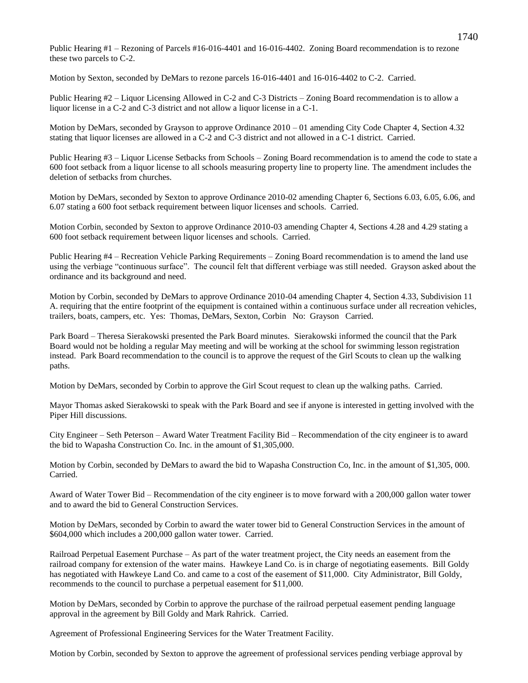Public Hearing #1 – Rezoning of Parcels #16-016-4401 and 16-016-4402. Zoning Board recommendation is to rezone these two parcels to C-2.

Motion by Sexton, seconded by DeMars to rezone parcels 16-016-4401 and 16-016-4402 to C-2. Carried.

Public Hearing #2 – Liquor Licensing Allowed in C-2 and C-3 Districts – Zoning Board recommendation is to allow a liquor license in a C-2 and C-3 district and not allow a liquor license in a C-1.

Motion by DeMars, seconded by Grayson to approve Ordinance 2010 – 01 amending City Code Chapter 4, Section 4.32 stating that liquor licenses are allowed in a C-2 and C-3 district and not allowed in a C-1 district. Carried.

Public Hearing #3 – Liquor License Setbacks from Schools – Zoning Board recommendation is to amend the code to state a 600 foot setback from a liquor license to all schools measuring property line to property line. The amendment includes the deletion of setbacks from churches.

Motion by DeMars, seconded by Sexton to approve Ordinance 2010-02 amending Chapter 6, Sections 6.03, 6.05, 6.06, and 6.07 stating a 600 foot setback requirement between liquor licenses and schools. Carried.

Motion Corbin, seconded by Sexton to approve Ordinance 2010-03 amending Chapter 4, Sections 4.28 and 4.29 stating a 600 foot setback requirement between liquor licenses and schools. Carried.

Public Hearing #4 – Recreation Vehicle Parking Requirements – Zoning Board recommendation is to amend the land use using the verbiage "continuous surface". The council felt that different verbiage was still needed. Grayson asked about the ordinance and its background and need.

Motion by Corbin, seconded by DeMars to approve Ordinance 2010-04 amending Chapter 4, Section 4.33, Subdivision 11 A. requiring that the entire footprint of the equipment is contained within a continuous surface under all recreation vehicles, trailers, boats, campers, etc. Yes: Thomas, DeMars, Sexton, Corbin No: Grayson Carried.

Park Board – Theresa Sierakowski presented the Park Board minutes. Sierakowski informed the council that the Park Board would not be holding a regular May meeting and will be working at the school for swimming lesson registration instead. Park Board recommendation to the council is to approve the request of the Girl Scouts to clean up the walking paths.

Motion by DeMars, seconded by Corbin to approve the Girl Scout request to clean up the walking paths. Carried.

Mayor Thomas asked Sierakowski to speak with the Park Board and see if anyone is interested in getting involved with the Piper Hill discussions.

City Engineer – Seth Peterson – Award Water Treatment Facility Bid – Recommendation of the city engineer is to award the bid to Wapasha Construction Co. Inc. in the amount of \$1,305,000.

Motion by Corbin, seconded by DeMars to award the bid to Wapasha Construction Co, Inc. in the amount of \$1,305, 000. Carried.

Award of Water Tower Bid – Recommendation of the city engineer is to move forward with a 200,000 gallon water tower and to award the bid to General Construction Services.

Motion by DeMars, seconded by Corbin to award the water tower bid to General Construction Services in the amount of \$604,000 which includes a 200,000 gallon water tower. Carried.

Railroad Perpetual Easement Purchase – As part of the water treatment project, the City needs an easement from the railroad company for extension of the water mains. Hawkeye Land Co. is in charge of negotiating easements. Bill Goldy has negotiated with Hawkeye Land Co. and came to a cost of the easement of \$11,000. City Administrator, Bill Goldy, recommends to the council to purchase a perpetual easement for \$11,000.

Motion by DeMars, seconded by Corbin to approve the purchase of the railroad perpetual easement pending language approval in the agreement by Bill Goldy and Mark Rahrick. Carried.

Agreement of Professional Engineering Services for the Water Treatment Facility.

Motion by Corbin, seconded by Sexton to approve the agreement of professional services pending verbiage approval by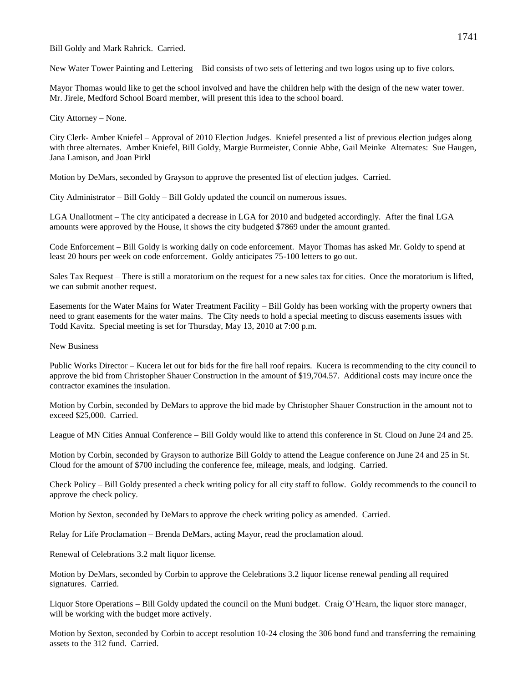Bill Goldy and Mark Rahrick. Carried.

New Water Tower Painting and Lettering – Bid consists of two sets of lettering and two logos using up to five colors.

Mayor Thomas would like to get the school involved and have the children help with the design of the new water tower. Mr. Jirele, Medford School Board member, will present this idea to the school board.

City Attorney – None.

City Clerk- Amber Kniefel – Approval of 2010 Election Judges. Kniefel presented a list of previous election judges along with three alternates. Amber Kniefel, Bill Goldy, Margie Burmeister, Connie Abbe, Gail Meinke Alternates: Sue Haugen, Jana Lamison, and Joan Pirkl

Motion by DeMars, seconded by Grayson to approve the presented list of election judges. Carried.

City Administrator – Bill Goldy – Bill Goldy updated the council on numerous issues.

LGA Unallotment – The city anticipated a decrease in LGA for 2010 and budgeted accordingly. After the final LGA amounts were approved by the House, it shows the city budgeted \$7869 under the amount granted.

Code Enforcement – Bill Goldy is working daily on code enforcement. Mayor Thomas has asked Mr. Goldy to spend at least 20 hours per week on code enforcement. Goldy anticipates 75-100 letters to go out.

Sales Tax Request – There is still a moratorium on the request for a new sales tax for cities. Once the moratorium is lifted, we can submit another request.

Easements for the Water Mains for Water Treatment Facility – Bill Goldy has been working with the property owners that need to grant easements for the water mains. The City needs to hold a special meeting to discuss easements issues with Todd Kavitz. Special meeting is set for Thursday, May 13, 2010 at 7:00 p.m.

New Business

Public Works Director – Kucera let out for bids for the fire hall roof repairs. Kucera is recommending to the city council to approve the bid from Christopher Shauer Construction in the amount of \$19,704.57. Additional costs may incure once the contractor examines the insulation.

Motion by Corbin, seconded by DeMars to approve the bid made by Christopher Shauer Construction in the amount not to exceed \$25,000. Carried.

League of MN Cities Annual Conference – Bill Goldy would like to attend this conference in St. Cloud on June 24 and 25.

Motion by Corbin, seconded by Grayson to authorize Bill Goldy to attend the League conference on June 24 and 25 in St. Cloud for the amount of \$700 including the conference fee, mileage, meals, and lodging. Carried.

Check Policy – Bill Goldy presented a check writing policy for all city staff to follow. Goldy recommends to the council to approve the check policy.

Motion by Sexton, seconded by DeMars to approve the check writing policy as amended. Carried.

Relay for Life Proclamation – Brenda DeMars, acting Mayor, read the proclamation aloud.

Renewal of Celebrations 3.2 malt liquor license.

Motion by DeMars, seconded by Corbin to approve the Celebrations 3.2 liquor license renewal pending all required signatures. Carried.

Liquor Store Operations – Bill Goldy updated the council on the Muni budget. Craig O'Hearn, the liquor store manager, will be working with the budget more actively.

Motion by Sexton, seconded by Corbin to accept resolution 10-24 closing the 306 bond fund and transferring the remaining assets to the 312 fund. Carried.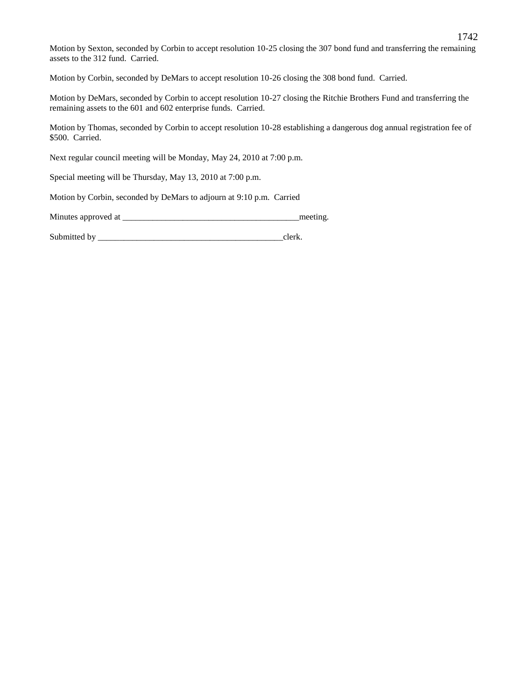Motion by Sexton, seconded by Corbin to accept resolution 10-25 closing the 307 bond fund and transferring the remaining assets to the 312 fund. Carried.

Motion by Corbin, seconded by DeMars to accept resolution 10-26 closing the 308 bond fund. Carried.

Motion by DeMars, seconded by Corbin to accept resolution 10-27 closing the Ritchie Brothers Fund and transferring the remaining assets to the 601 and 602 enterprise funds. Carried.

Motion by Thomas, seconded by Corbin to accept resolution 10-28 establishing a dangerous dog annual registration fee of \$500. Carried.

Next regular council meeting will be Monday, May 24, 2010 at 7:00 p.m.

Special meeting will be Thursday, May 13, 2010 at 7:00 p.m.

Motion by Corbin, seconded by DeMars to adjourn at 9:10 p.m. Carried

Minutes approved at \_\_\_\_\_\_\_\_\_\_\_\_\_\_\_\_\_\_\_\_\_\_\_\_\_\_\_\_\_\_\_\_\_\_\_\_\_\_\_\_\_meeting.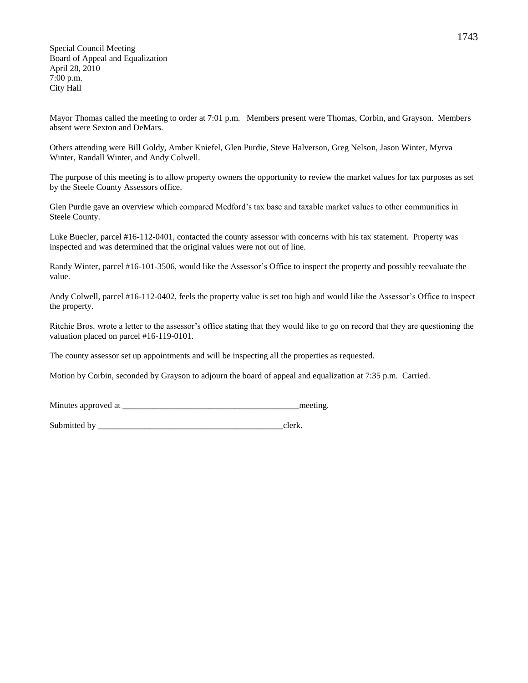Special Council Meeting Board of Appeal and Equalization April 28, 2010 7:00 p.m. City Hall

Mayor Thomas called the meeting to order at 7:01 p.m. Members present were Thomas, Corbin, and Grayson. Members absent were Sexton and DeMars.

Others attending were Bill Goldy, Amber Kniefel, Glen Purdie, Steve Halverson, Greg Nelson, Jason Winter, Myrva Winter, Randall Winter, and Andy Colwell.

The purpose of this meeting is to allow property owners the opportunity to review the market values for tax purposes as set by the Steele County Assessors office.

Glen Purdie gave an overview which compared Medford's tax base and taxable market values to other communities in Steele County.

Luke Buecler, parcel #16-112-0401, contacted the county assessor with concerns with his tax statement. Property was inspected and was determined that the original values were not out of line.

Randy Winter, parcel #16-101-3506, would like the Assessor's Office to inspect the property and possibly reevaluate the value.

Andy Colwell, parcel #16-112-0402, feels the property value is set too high and would like the Assessor's Office to inspect the property.

Ritchie Bros. wrote a letter to the assessor's office stating that they would like to go on record that they are questioning the valuation placed on parcel #16-119-0101.

The county assessor set up appointments and will be inspecting all the properties as requested.

Motion by Corbin, seconded by Grayson to adjourn the board of appeal and equalization at 7:35 p.m. Carried.

Minutes approved at the setting and the setting meeting.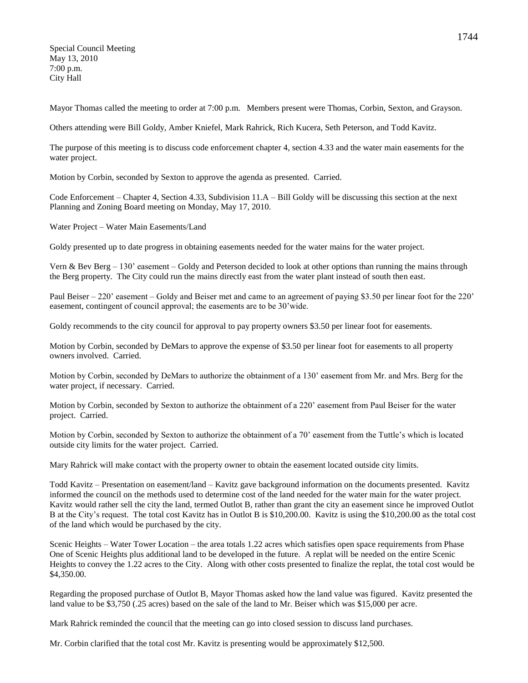Special Council Meeting May 13, 2010 7:00 p.m. City Hall

Mayor Thomas called the meeting to order at 7:00 p.m. Members present were Thomas, Corbin, Sexton, and Grayson.

Others attending were Bill Goldy, Amber Kniefel, Mark Rahrick, Rich Kucera, Seth Peterson, and Todd Kavitz.

The purpose of this meeting is to discuss code enforcement chapter 4, section 4.33 and the water main easements for the water project.

Motion by Corbin, seconded by Sexton to approve the agenda as presented. Carried.

Code Enforcement – Chapter 4, Section 4.33, Subdivision 11.A – Bill Goldy will be discussing this section at the next Planning and Zoning Board meeting on Monday, May 17, 2010.

Water Project – Water Main Easements/Land

Goldy presented up to date progress in obtaining easements needed for the water mains for the water project.

Vern & Bev Berg – 130' easement – Goldy and Peterson decided to look at other options than running the mains through the Berg property. The City could run the mains directly east from the water plant instead of south then east.

Paul Beiser – 220' easement – Goldy and Beiser met and came to an agreement of paying \$3.50 per linear foot for the 220' easement, contingent of council approval; the easements are to be 30'wide.

Goldy recommends to the city council for approval to pay property owners \$3.50 per linear foot for easements.

Motion by Corbin, seconded by DeMars to approve the expense of \$3.50 per linear foot for easements to all property owners involved. Carried.

Motion by Corbin, seconded by DeMars to authorize the obtainment of a 130' easement from Mr. and Mrs. Berg for the water project, if necessary. Carried.

Motion by Corbin, seconded by Sexton to authorize the obtainment of a 220' easement from Paul Beiser for the water project. Carried.

Motion by Corbin, seconded by Sexton to authorize the obtainment of a 70' easement from the Tuttle's which is located outside city limits for the water project. Carried.

Mary Rahrick will make contact with the property owner to obtain the easement located outside city limits.

Todd Kavitz – Presentation on easement/land – Kavitz gave background information on the documents presented. Kavitz informed the council on the methods used to determine cost of the land needed for the water main for the water project. Kavitz would rather sell the city the land, termed Outlot B, rather than grant the city an easement since he improved Outlot B at the City's request. The total cost Kavitz has in Outlot B is \$10,200.00. Kavitz is using the \$10,200.00 as the total cost of the land which would be purchased by the city.

Scenic Heights – Water Tower Location – the area totals 1.22 acres which satisfies open space requirements from Phase One of Scenic Heights plus additional land to be developed in the future. A replat will be needed on the entire Scenic Heights to convey the 1.22 acres to the City. Along with other costs presented to finalize the replat, the total cost would be \$4,350.00.

Regarding the proposed purchase of Outlot B, Mayor Thomas asked how the land value was figured. Kavitz presented the land value to be \$3,750 (.25 acres) based on the sale of the land to Mr. Beiser which was \$15,000 per acre.

Mark Rahrick reminded the council that the meeting can go into closed session to discuss land purchases.

Mr. Corbin clarified that the total cost Mr. Kavitz is presenting would be approximately \$12,500.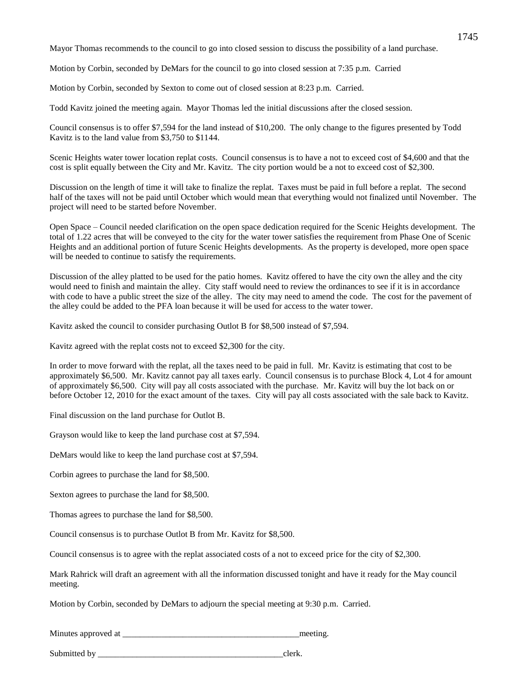Mayor Thomas recommends to the council to go into closed session to discuss the possibility of a land purchase.

Motion by Corbin, seconded by DeMars for the council to go into closed session at 7:35 p.m. Carried

Motion by Corbin, seconded by Sexton to come out of closed session at 8:23 p.m. Carried.

Todd Kavitz joined the meeting again. Mayor Thomas led the initial discussions after the closed session.

Council consensus is to offer \$7,594 for the land instead of \$10,200. The only change to the figures presented by Todd Kavitz is to the land value from \$3,750 to \$1144.

Scenic Heights water tower location replat costs. Council consensus is to have a not to exceed cost of \$4,600 and that the cost is split equally between the City and Mr. Kavitz. The city portion would be a not to exceed cost of \$2,300.

Discussion on the length of time it will take to finalize the replat. Taxes must be paid in full before a replat. The second half of the taxes will not be paid until October which would mean that everything would not finalized until November. The project will need to be started before November.

Open Space – Council needed clarification on the open space dedication required for the Scenic Heights development. The total of 1.22 acres that will be conveyed to the city for the water tower satisfies the requirement from Phase One of Scenic Heights and an additional portion of future Scenic Heights developments. As the property is developed, more open space will be needed to continue to satisfy the requirements.

Discussion of the alley platted to be used for the patio homes. Kavitz offered to have the city own the alley and the city would need to finish and maintain the alley. City staff would need to review the ordinances to see if it is in accordance with code to have a public street the size of the alley. The city may need to amend the code. The cost for the pavement of the alley could be added to the PFA loan because it will be used for access to the water tower.

Kavitz asked the council to consider purchasing Outlot B for \$8,500 instead of \$7,594.

Kavitz agreed with the replat costs not to exceed \$2,300 for the city.

In order to move forward with the replat, all the taxes need to be paid in full. Mr. Kavitz is estimating that cost to be approximately \$6,500. Mr. Kavitz cannot pay all taxes early. Council consensus is to purchase Block 4, Lot 4 for amount of approximately \$6,500. City will pay all costs associated with the purchase. Mr. Kavitz will buy the lot back on or before October 12, 2010 for the exact amount of the taxes. City will pay all costs associated with the sale back to Kavitz.

Final discussion on the land purchase for Outlot B.

Grayson would like to keep the land purchase cost at \$7,594.

DeMars would like to keep the land purchase cost at \$7,594.

Corbin agrees to purchase the land for \$8,500.

Sexton agrees to purchase the land for \$8,500.

Thomas agrees to purchase the land for \$8,500.

Council consensus is to purchase Outlot B from Mr. Kavitz for \$8,500.

Council consensus is to agree with the replat associated costs of a not to exceed price for the city of \$2,300.

Mark Rahrick will draft an agreement with all the information discussed tonight and have it ready for the May council meeting.

Motion by Corbin, seconded by DeMars to adjourn the special meeting at 9:30 p.m. Carried.

Minutes approved at \_\_\_\_\_\_\_\_\_\_\_\_\_\_\_\_\_\_\_\_\_\_\_\_\_\_\_\_\_\_\_\_\_\_\_\_\_\_\_\_\_meeting.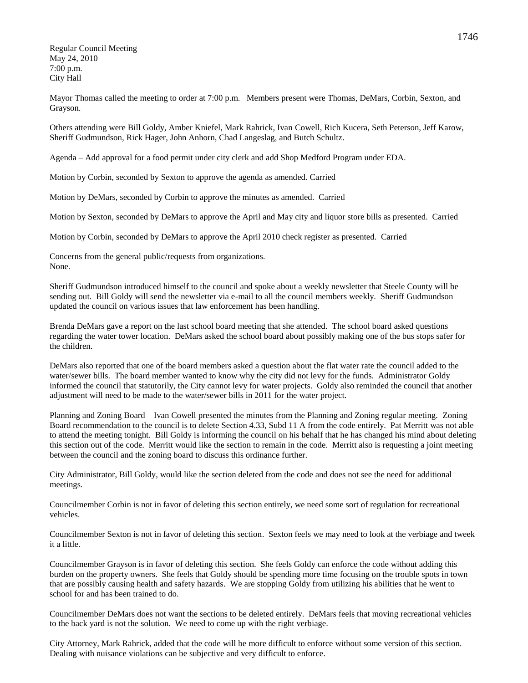Regular Council Meeting May 24, 2010 7:00 p.m. City Hall

Mayor Thomas called the meeting to order at 7:00 p.m. Members present were Thomas, DeMars, Corbin, Sexton, and Grayson.

Others attending were Bill Goldy, Amber Kniefel, Mark Rahrick, Ivan Cowell, Rich Kucera, Seth Peterson, Jeff Karow, Sheriff Gudmundson, Rick Hager, John Anhorn, Chad Langeslag, and Butch Schultz.

Agenda – Add approval for a food permit under city clerk and add Shop Medford Program under EDA.

Motion by Corbin, seconded by Sexton to approve the agenda as amended. Carried

Motion by DeMars, seconded by Corbin to approve the minutes as amended. Carried

Motion by Sexton, seconded by DeMars to approve the April and May city and liquor store bills as presented. Carried

Motion by Corbin, seconded by DeMars to approve the April 2010 check register as presented. Carried

Concerns from the general public/requests from organizations. None.

Sheriff Gudmundson introduced himself to the council and spoke about a weekly newsletter that Steele County will be sending out. Bill Goldy will send the newsletter via e-mail to all the council members weekly. Sheriff Gudmundson updated the council on various issues that law enforcement has been handling.

Brenda DeMars gave a report on the last school board meeting that she attended. The school board asked questions regarding the water tower location. DeMars asked the school board about possibly making one of the bus stops safer for the children.

DeMars also reported that one of the board members asked a question about the flat water rate the council added to the water/sewer bills. The board member wanted to know why the city did not levy for the funds. Administrator Goldy informed the council that statutorily, the City cannot levy for water projects. Goldy also reminded the council that another adjustment will need to be made to the water/sewer bills in 2011 for the water project.

Planning and Zoning Board – Ivan Cowell presented the minutes from the Planning and Zoning regular meeting. Zoning Board recommendation to the council is to delete Section 4.33, Subd 11 A from the code entirely. Pat Merritt was not able to attend the meeting tonight. Bill Goldy is informing the council on his behalf that he has changed his mind about deleting this section out of the code. Merritt would like the section to remain in the code. Merritt also is requesting a joint meeting between the council and the zoning board to discuss this ordinance further.

City Administrator, Bill Goldy, would like the section deleted from the code and does not see the need for additional meetings.

Councilmember Corbin is not in favor of deleting this section entirely, we need some sort of regulation for recreational vehicles.

Councilmember Sexton is not in favor of deleting this section. Sexton feels we may need to look at the verbiage and tweek it a little.

Councilmember Grayson is in favor of deleting this section. She feels Goldy can enforce the code without adding this burden on the property owners. She feels that Goldy should be spending more time focusing on the trouble spots in town that are possibly causing health and safety hazards. We are stopping Goldy from utilizing his abilities that he went to school for and has been trained to do.

Councilmember DeMars does not want the sections to be deleted entirely. DeMars feels that moving recreational vehicles to the back yard is not the solution. We need to come up with the right verbiage.

City Attorney, Mark Rahrick, added that the code will be more difficult to enforce without some version of this section. Dealing with nuisance violations can be subjective and very difficult to enforce.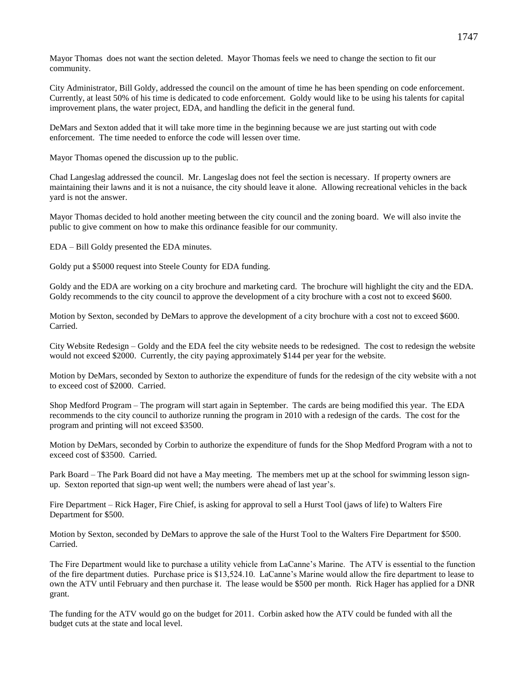Mayor Thomas does not want the section deleted. Mayor Thomas feels we need to change the section to fit our community.

City Administrator, Bill Goldy, addressed the council on the amount of time he has been spending on code enforcement. Currently, at least 50% of his time is dedicated to code enforcement. Goldy would like to be using his talents for capital improvement plans, the water project, EDA, and handling the deficit in the general fund.

DeMars and Sexton added that it will take more time in the beginning because we are just starting out with code enforcement. The time needed to enforce the code will lessen over time.

Mayor Thomas opened the discussion up to the public.

Chad Langeslag addressed the council. Mr. Langeslag does not feel the section is necessary. If property owners are maintaining their lawns and it is not a nuisance, the city should leave it alone. Allowing recreational vehicles in the back yard is not the answer.

Mayor Thomas decided to hold another meeting between the city council and the zoning board. We will also invite the public to give comment on how to make this ordinance feasible for our community.

EDA – Bill Goldy presented the EDA minutes.

Goldy put a \$5000 request into Steele County for EDA funding.

Goldy and the EDA are working on a city brochure and marketing card. The brochure will highlight the city and the EDA. Goldy recommends to the city council to approve the development of a city brochure with a cost not to exceed \$600.

Motion by Sexton, seconded by DeMars to approve the development of a city brochure with a cost not to exceed \$600. Carried.

City Website Redesign – Goldy and the EDA feel the city website needs to be redesigned. The cost to redesign the website would not exceed \$2000. Currently, the city paying approximately \$144 per year for the website.

Motion by DeMars, seconded by Sexton to authorize the expenditure of funds for the redesign of the city website with a not to exceed cost of \$2000. Carried.

Shop Medford Program – The program will start again in September. The cards are being modified this year. The EDA recommends to the city council to authorize running the program in 2010 with a redesign of the cards. The cost for the program and printing will not exceed \$3500.

Motion by DeMars, seconded by Corbin to authorize the expenditure of funds for the Shop Medford Program with a not to exceed cost of \$3500. Carried.

Park Board – The Park Board did not have a May meeting. The members met up at the school for swimming lesson signup. Sexton reported that sign-up went well; the numbers were ahead of last year's.

Fire Department – Rick Hager, Fire Chief, is asking for approval to sell a Hurst Tool (jaws of life) to Walters Fire Department for \$500.

Motion by Sexton, seconded by DeMars to approve the sale of the Hurst Tool to the Walters Fire Department for \$500. Carried.

The Fire Department would like to purchase a utility vehicle from LaCanne's Marine. The ATV is essential to the function of the fire department duties. Purchase price is \$13,524.10. LaCanne's Marine would allow the fire department to lease to own the ATV until February and then purchase it. The lease would be \$500 per month. Rick Hager has applied for a DNR grant.

The funding for the ATV would go on the budget for 2011. Corbin asked how the ATV could be funded with all the budget cuts at the state and local level.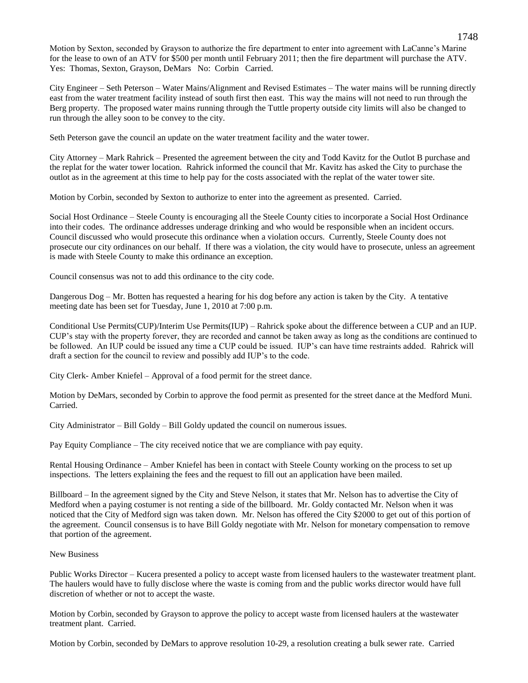Motion by Sexton, seconded by Grayson to authorize the fire department to enter into agreement with LaCanne's Marine for the lease to own of an ATV for \$500 per month until February 2011; then the fire department will purchase the ATV. Yes: Thomas, Sexton, Grayson, DeMars No: Corbin Carried.

City Engineer – Seth Peterson – Water Mains/Alignment and Revised Estimates – The water mains will be running directly east from the water treatment facility instead of south first then east. This way the mains will not need to run through the Berg property. The proposed water mains running through the Tuttle property outside city limits will also be changed to run through the alley soon to be convey to the city.

Seth Peterson gave the council an update on the water treatment facility and the water tower.

City Attorney – Mark Rahrick – Presented the agreement between the city and Todd Kavitz for the Outlot B purchase and the replat for the water tower location. Rahrick informed the council that Mr. Kavitz has asked the City to purchase the outlot as in the agreement at this time to help pay for the costs associated with the replat of the water tower site.

Motion by Corbin, seconded by Sexton to authorize to enter into the agreement as presented. Carried.

Social Host Ordinance – Steele County is encouraging all the Steele County cities to incorporate a Social Host Ordinance into their codes. The ordinance addresses underage drinking and who would be responsible when an incident occurs. Council discussed who would prosecute this ordinance when a violation occurs. Currently, Steele County does not prosecute our city ordinances on our behalf. If there was a violation, the city would have to prosecute, unless an agreement is made with Steele County to make this ordinance an exception.

Council consensus was not to add this ordinance to the city code.

Dangerous Dog – Mr. Botten has requested a hearing for his dog before any action is taken by the City. A tentative meeting date has been set for Tuesday, June 1, 2010 at 7:00 p.m.

Conditional Use Permits(CUP)/Interim Use Permits(IUP) – Rahrick spoke about the difference between a CUP and an IUP. CUP's stay with the property forever, they are recorded and cannot be taken away as long as the conditions are continued to be followed. An IUP could be issued any time a CUP could be issued. IUP's can have time restraints added. Rahrick will draft a section for the council to review and possibly add IUP's to the code.

City Clerk- Amber Kniefel – Approval of a food permit for the street dance.

Motion by DeMars, seconded by Corbin to approve the food permit as presented for the street dance at the Medford Muni. Carried.

City Administrator – Bill Goldy – Bill Goldy updated the council on numerous issues.

Pay Equity Compliance – The city received notice that we are compliance with pay equity.

Rental Housing Ordinance – Amber Kniefel has been in contact with Steele County working on the process to set up inspections. The letters explaining the fees and the request to fill out an application have been mailed.

Billboard – In the agreement signed by the City and Steve Nelson, it states that Mr. Nelson has to advertise the City of Medford when a paying costumer is not renting a side of the billboard. Mr. Goldy contacted Mr. Nelson when it was noticed that the City of Medford sign was taken down. Mr. Nelson has offered the City \$2000 to get out of this portion of the agreement. Council consensus is to have Bill Goldy negotiate with Mr. Nelson for monetary compensation to remove that portion of the agreement.

# New Business

Public Works Director – Kucera presented a policy to accept waste from licensed haulers to the wastewater treatment plant. The haulers would have to fully disclose where the waste is coming from and the public works director would have full discretion of whether or not to accept the waste.

Motion by Corbin, seconded by Grayson to approve the policy to accept waste from licensed haulers at the wastewater treatment plant. Carried.

Motion by Corbin, seconded by DeMars to approve resolution 10-29, a resolution creating a bulk sewer rate. Carried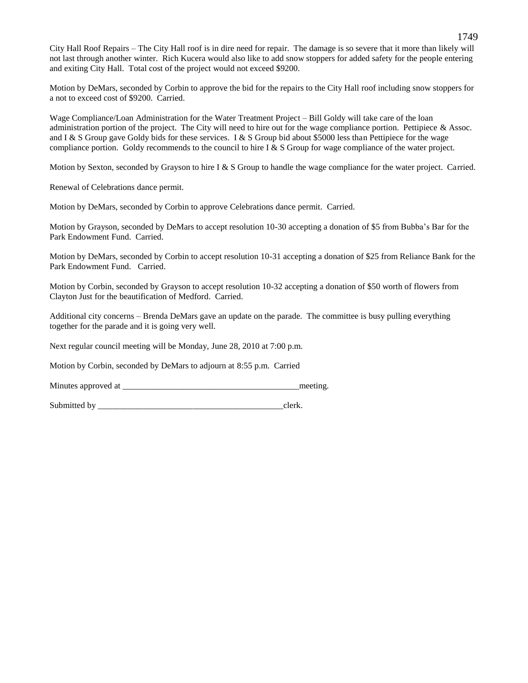City Hall Roof Repairs – The City Hall roof is in dire need for repair. The damage is so severe that it more than likely will not last through another winter. Rich Kucera would also like to add snow stoppers for added safety for the people entering and exiting City Hall. Total cost of the project would not exceed \$9200.

Motion by DeMars, seconded by Corbin to approve the bid for the repairs to the City Hall roof including snow stoppers for a not to exceed cost of \$9200. Carried.

Wage Compliance/Loan Administration for the Water Treatment Project – Bill Goldy will take care of the loan administration portion of the project. The City will need to hire out for the wage compliance portion. Pettipiece  $\&$  Assoc. and I & S Group gave Goldy bids for these services. I & S Group bid about \$5000 less than Pettipiece for the wage compliance portion. Goldy recommends to the council to hire I & S Group for wage compliance of the water project.

Motion by Sexton, seconded by Grayson to hire I & S Group to handle the wage compliance for the water project. Carried.

Renewal of Celebrations dance permit.

Motion by DeMars, seconded by Corbin to approve Celebrations dance permit. Carried.

Motion by Grayson, seconded by DeMars to accept resolution 10-30 accepting a donation of \$5 from Bubba's Bar for the Park Endowment Fund. Carried.

Motion by DeMars, seconded by Corbin to accept resolution 10-31 accepting a donation of \$25 from Reliance Bank for the Park Endowment Fund. Carried.

Motion by Corbin, seconded by Grayson to accept resolution 10-32 accepting a donation of \$50 worth of flowers from Clayton Just for the beautification of Medford. Carried.

Additional city concerns – Brenda DeMars gave an update on the parade. The committee is busy pulling everything together for the parade and it is going very well.

Next regular council meeting will be Monday, June 28, 2010 at 7:00 p.m.

Motion by Corbin, seconded by DeMars to adjourn at 8:55 p.m. Carried

Minutes approved at \_\_\_\_\_\_\_\_\_\_\_\_\_\_\_\_\_\_\_\_\_\_\_\_\_\_\_\_\_\_\_\_\_\_\_\_\_\_\_\_\_meeting.

Submitted by exercise the set of the set of the set of the set of the set of the set of the set of the set of the set of the set of the set of the set of the set of the set of the set of the set of the set of the set of th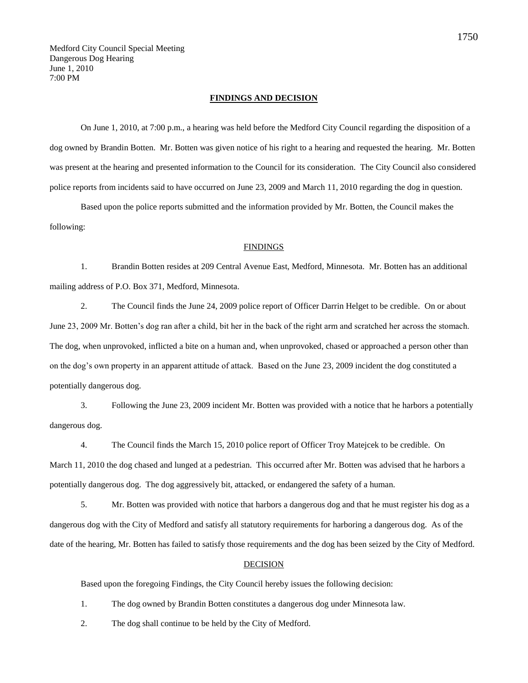#### **FINDINGS AND DECISION**

On June 1, 2010, at 7:00 p.m., a hearing was held before the Medford City Council regarding the disposition of a dog owned by Brandin Botten. Mr. Botten was given notice of his right to a hearing and requested the hearing. Mr. Botten was present at the hearing and presented information to the Council for its consideration. The City Council also considered police reports from incidents said to have occurred on June 23, 2009 and March 11, 2010 regarding the dog in question.

Based upon the police reports submitted and the information provided by Mr. Botten, the Council makes the following:

# FINDINGS

1. Brandin Botten resides at 209 Central Avenue East, Medford, Minnesota. Mr. Botten has an additional mailing address of P.O. Box 371, Medford, Minnesota.

2. The Council finds the June 24, 2009 police report of Officer Darrin Helget to be credible. On or about June 23, 2009 Mr. Botten's dog ran after a child, bit her in the back of the right arm and scratched her across the stomach. The dog, when unprovoked, inflicted a bite on a human and, when unprovoked, chased or approached a person other than on the dog's own property in an apparent attitude of attack. Based on the June 23, 2009 incident the dog constituted a potentially dangerous dog.

3. Following the June 23, 2009 incident Mr. Botten was provided with a notice that he harbors a potentially dangerous dog.

4. The Council finds the March 15, 2010 police report of Officer Troy Matejcek to be credible. On March 11, 2010 the dog chased and lunged at a pedestrian. This occurred after Mr. Botten was advised that he harbors a potentially dangerous dog. The dog aggressively bit, attacked, or endangered the safety of a human.

5. Mr. Botten was provided with notice that harbors a dangerous dog and that he must register his dog as a dangerous dog with the City of Medford and satisfy all statutory requirements for harboring a dangerous dog. As of the date of the hearing, Mr. Botten has failed to satisfy those requirements and the dog has been seized by the City of Medford.

# DECISION

Based upon the foregoing Findings, the City Council hereby issues the following decision:

1. The dog owned by Brandin Botten constitutes a dangerous dog under Minnesota law.

2. The dog shall continue to be held by the City of Medford.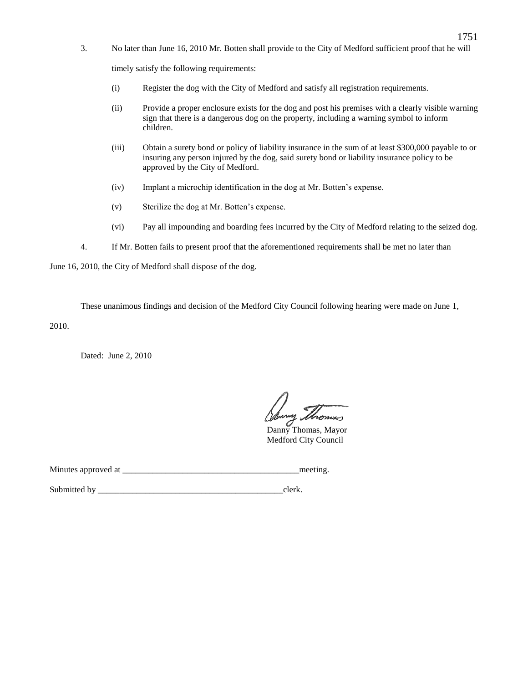3. No later than June 16, 2010 Mr. Botten shall provide to the City of Medford sufficient proof that he will

timely satisfy the following requirements:

- (i) Register the dog with the City of Medford and satisfy all registration requirements.
- (ii) Provide a proper enclosure exists for the dog and post his premises with a clearly visible warning sign that there is a dangerous dog on the property, including a warning symbol to inform children.
- (iii) Obtain a surety bond or policy of liability insurance in the sum of at least \$300,000 payable to or insuring any person injured by the dog, said surety bond or liability insurance policy to be approved by the City of Medford.
- (iv) Implant a microchip identification in the dog at Mr. Botten's expense.
- (v) Sterilize the dog at Mr. Botten's expense.
- (vi) Pay all impounding and boarding fees incurred by the City of Medford relating to the seized dog.
- 4. If Mr. Botten fails to present proof that the aforementioned requirements shall be met no later than

June 16, 2010, the City of Medford shall dispose of the dog.

These unanimous findings and decision of the Medford City Council following hearing were made on June 1,

2010.

Dated: June 2, 2010

y Shomes

Danny Thomas, Mayor Medford City Council

Minutes approved at \_\_\_\_\_\_\_\_\_\_\_\_\_\_\_\_\_\_\_\_\_\_\_\_\_\_\_\_\_\_\_\_\_\_\_\_\_\_\_\_\_meeting.

Submitted by clerk.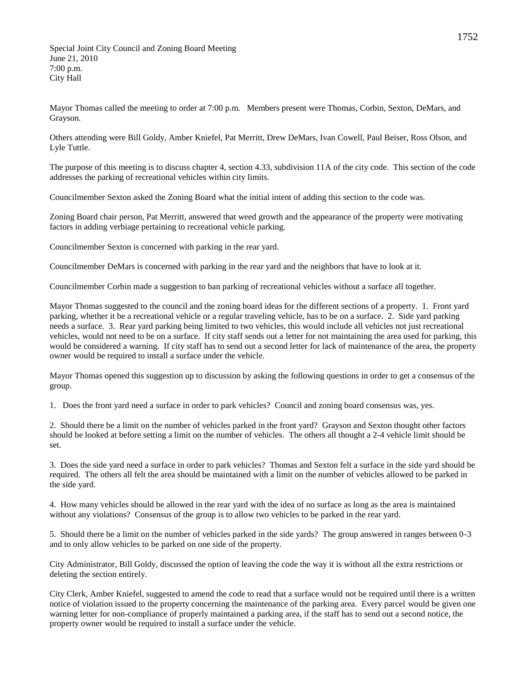Special Joint City Council and Zoning Board Meeting June 21, 2010 7:00 p.m. City Hall

Mayor Thomas called the meeting to order at 7:00 p.m. Members present were Thomas, Corbin, Sexton, DeMars, and Grayson.

Others attending were Bill Goldy, Amber Kniefel, Pat Merritt, Drew DeMars, Ivan Cowell, Paul Beiser, Ross Olson, and Lyle Tuttle.

The purpose of this meeting is to discuss chapter 4, section 4.33, subdivision 11A of the city code. This section of the code addresses the parking of recreational vehicles within city limits.

Councilmember Sexton asked the Zoning Board what the initial intent of adding this section to the code was.

Zoning Board chair person, Pat Merritt, answered that weed growth and the appearance of the property were motivating factors in adding verbiage pertaining to recreational vehicle parking.

Councilmember Sexton is concerned with parking in the rear yard.

Councilmember DeMars is concerned with parking in the rear yard and the neighbors that have to look at it.

Councilmember Corbin made a suggestion to ban parking of recreational vehicles without a surface all together.

Mayor Thomas suggested to the council and the zoning board ideas for the different sections of a property. 1. Front yard parking, whether it be a recreational vehicle or a regular traveling vehicle, has to be on a surface. 2. Side yard parking needs a surface. 3. Rear yard parking being limited to two vehicles, this would include all vehicles not just recreational vehicles, would not need to be on a surface. If city staff sends out a letter for not maintaining the area used for parking, this would be considered a warning. If city staff has to send out a second letter for lack of maintenance of the area, the property owner would be required to install a surface under the vehicle.

Mayor Thomas opened this suggestion up to discussion by asking the following questions in order to get a consensus of the group.

1. Does the front yard need a surface in order to park vehicles? Council and zoning board consensus was, yes.

2. Should there be a limit on the number of vehicles parked in the front yard? Grayson and Sexton thought other factors should be looked at before setting a limit on the number of vehicles. The others all thought a 2-4 vehicle limit should be set.

3. Does the side yard need a surface in order to park vehicles? Thomas and Sexton felt a surface in the side yard should be required. The others all felt the area should be maintained with a limit on the number of vehicles allowed to be parked in the side yard.

4. How many vehicles should be allowed in the rear yard with the idea of no surface as long as the area is maintained without any violations? Consensus of the group is to allow two vehicles to be parked in the rear yard.

5. Should there be a limit on the number of vehicles parked in the side yards? The group answered in ranges between 0-3 and to only allow vehicles to be parked on one side of the property.

City Administrator, Bill Goldy, discussed the option of leaving the code the way it is without all the extra restrictions or deleting the section entirely.

City Clerk, Amber Kniefel, suggested to amend the code to read that a surface would not be required until there is a written notice of violation issued to the property concerning the maintenance of the parking area. Every parcel would be given one warning letter for non-compliance of properly maintained a parking area, if the staff has to send out a second notice, the property owner would be required to install a surface under the vehicle.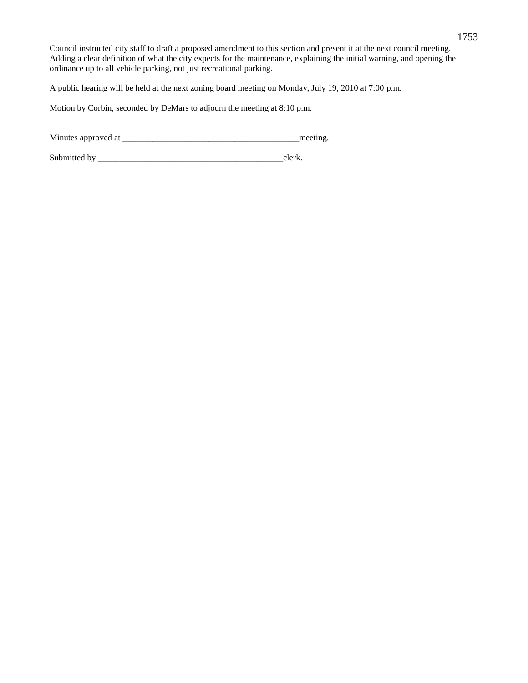Council instructed city staff to draft a proposed amendment to this section and present it at the next council meeting. Adding a clear definition of what the city expects for the maintenance, explaining the initial warning, and opening the ordinance up to all vehicle parking, not just recreational parking.

A public hearing will be held at the next zoning board meeting on Monday, July 19, 2010 at 7:00 p.m.

Motion by Corbin, seconded by DeMars to adjourn the meeting at 8:10 p.m.

Minutes approved at \_\_\_\_\_\_\_\_\_\_\_\_\_\_\_\_\_\_\_\_\_\_\_\_\_\_\_\_\_\_\_\_\_\_\_\_\_\_\_\_\_meeting.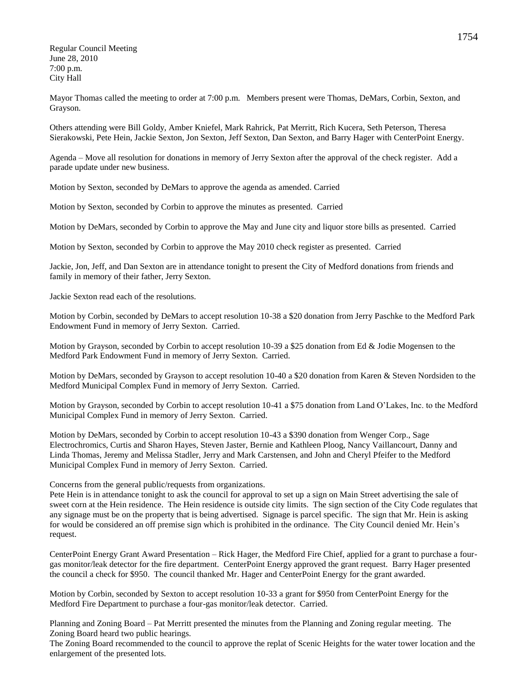Regular Council Meeting June 28, 2010 7:00 p.m. City Hall

Mayor Thomas called the meeting to order at 7:00 p.m. Members present were Thomas, DeMars, Corbin, Sexton, and Grayson.

Others attending were Bill Goldy, Amber Kniefel, Mark Rahrick, Pat Merritt, Rich Kucera, Seth Peterson, Theresa Sierakowski, Pete Hein, Jackie Sexton, Jon Sexton, Jeff Sexton, Dan Sexton, and Barry Hager with CenterPoint Energy.

Agenda – Move all resolution for donations in memory of Jerry Sexton after the approval of the check register. Add a parade update under new business.

Motion by Sexton, seconded by DeMars to approve the agenda as amended. Carried

Motion by Sexton, seconded by Corbin to approve the minutes as presented. Carried

Motion by DeMars, seconded by Corbin to approve the May and June city and liquor store bills as presented. Carried

Motion by Sexton, seconded by Corbin to approve the May 2010 check register as presented. Carried

Jackie, Jon, Jeff, and Dan Sexton are in attendance tonight to present the City of Medford donations from friends and family in memory of their father, Jerry Sexton.

Jackie Sexton read each of the resolutions.

Motion by Corbin, seconded by DeMars to accept resolution 10-38 a \$20 donation from Jerry Paschke to the Medford Park Endowment Fund in memory of Jerry Sexton. Carried.

Motion by Grayson, seconded by Corbin to accept resolution 10-39 a \$25 donation from Ed & Jodie Mogensen to the Medford Park Endowment Fund in memory of Jerry Sexton. Carried.

Motion by DeMars, seconded by Grayson to accept resolution 10-40 a \$20 donation from Karen & Steven Nordsiden to the Medford Municipal Complex Fund in memory of Jerry Sexton. Carried.

Motion by Grayson, seconded by Corbin to accept resolution 10-41 a \$75 donation from Land O'Lakes, Inc. to the Medford Municipal Complex Fund in memory of Jerry Sexton. Carried.

Motion by DeMars, seconded by Corbin to accept resolution 10-43 a \$390 donation from Wenger Corp., Sage Electrochromics, Curtis and Sharon Hayes, Steven Jaster, Bernie and Kathleen Ploog, Nancy Vaillancourt, Danny and Linda Thomas, Jeremy and Melissa Stadler, Jerry and Mark Carstensen, and John and Cheryl Pfeifer to the Medford Municipal Complex Fund in memory of Jerry Sexton. Carried.

Concerns from the general public/requests from organizations.

Pete Hein is in attendance tonight to ask the council for approval to set up a sign on Main Street advertising the sale of sweet corn at the Hein residence. The Hein residence is outside city limits. The sign section of the City Code regulates that any signage must be on the property that is being advertised. Signage is parcel specific. The sign that Mr. Hein is asking for would be considered an off premise sign which is prohibited in the ordinance. The City Council denied Mr. Hein's request.

CenterPoint Energy Grant Award Presentation – Rick Hager, the Medford Fire Chief, applied for a grant to purchase a fourgas monitor/leak detector for the fire department. CenterPoint Energy approved the grant request. Barry Hager presented the council a check for \$950. The council thanked Mr. Hager and CenterPoint Energy for the grant awarded.

Motion by Corbin, seconded by Sexton to accept resolution 10-33 a grant for \$950 from CenterPoint Energy for the Medford Fire Department to purchase a four-gas monitor/leak detector. Carried.

Planning and Zoning Board – Pat Merritt presented the minutes from the Planning and Zoning regular meeting. The Zoning Board heard two public hearings.

The Zoning Board recommended to the council to approve the replat of Scenic Heights for the water tower location and the enlargement of the presented lots.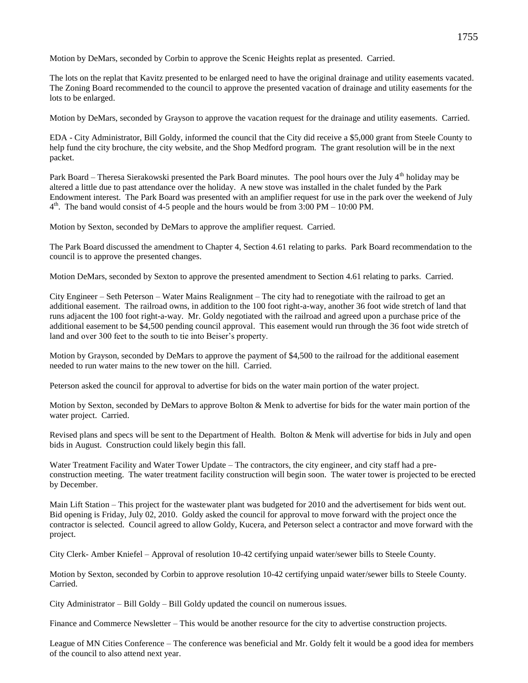Motion by DeMars, seconded by Corbin to approve the Scenic Heights replat as presented. Carried.

The lots on the replat that Kavitz presented to be enlarged need to have the original drainage and utility easements vacated. The Zoning Board recommended to the council to approve the presented vacation of drainage and utility easements for the lots to be enlarged.

Motion by DeMars, seconded by Grayson to approve the vacation request for the drainage and utility easements. Carried.

EDA - City Administrator, Bill Goldy, informed the council that the City did receive a \$5,000 grant from Steele County to help fund the city brochure, the city website, and the Shop Medford program. The grant resolution will be in the next packet.

Park Board – Theresa Sierakowski presented the Park Board minutes. The pool hours over the July 4<sup>th</sup> holiday may be altered a little due to past attendance over the holiday. A new stove was installed in the chalet funded by the Park Endowment interest. The Park Board was presented with an amplifier request for use in the park over the weekend of July  $4<sup>th</sup>$ . The band would consist of 4-5 people and the hours would be from 3:00 PM – 10:00 PM.

Motion by Sexton, seconded by DeMars to approve the amplifier request. Carried.

The Park Board discussed the amendment to Chapter 4, Section 4.61 relating to parks. Park Board recommendation to the council is to approve the presented changes.

Motion DeMars, seconded by Sexton to approve the presented amendment to Section 4.61 relating to parks. Carried.

City Engineer – Seth Peterson – Water Mains Realignment – The city had to renegotiate with the railroad to get an additional easement. The railroad owns, in addition to the 100 foot right-a-way, another 36 foot wide stretch of land that runs adjacent the 100 foot right-a-way. Mr. Goldy negotiated with the railroad and agreed upon a purchase price of the additional easement to be \$4,500 pending council approval. This easement would run through the 36 foot wide stretch of land and over 300 feet to the south to tie into Beiser's property.

Motion by Grayson, seconded by DeMars to approve the payment of \$4,500 to the railroad for the additional easement needed to run water mains to the new tower on the hill. Carried.

Peterson asked the council for approval to advertise for bids on the water main portion of the water project.

Motion by Sexton, seconded by DeMars to approve Bolton & Menk to advertise for bids for the water main portion of the water project. Carried.

Revised plans and specs will be sent to the Department of Health. Bolton & Menk will advertise for bids in July and open bids in August. Construction could likely begin this fall.

Water Treatment Facility and Water Tower Update – The contractors, the city engineer, and city staff had a preconstruction meeting. The water treatment facility construction will begin soon. The water tower is projected to be erected by December.

Main Lift Station – This project for the wastewater plant was budgeted for 2010 and the advertisement for bids went out. Bid opening is Friday, July 02, 2010. Goldy asked the council for approval to move forward with the project once the contractor is selected. Council agreed to allow Goldy, Kucera, and Peterson select a contractor and move forward with the project.

City Clerk- Amber Kniefel – Approval of resolution 10-42 certifying unpaid water/sewer bills to Steele County.

Motion by Sexton, seconded by Corbin to approve resolution 10-42 certifying unpaid water/sewer bills to Steele County. Carried.

City Administrator – Bill Goldy – Bill Goldy updated the council on numerous issues.

Finance and Commerce Newsletter – This would be another resource for the city to advertise construction projects.

League of MN Cities Conference – The conference was beneficial and Mr. Goldy felt it would be a good idea for members of the council to also attend next year.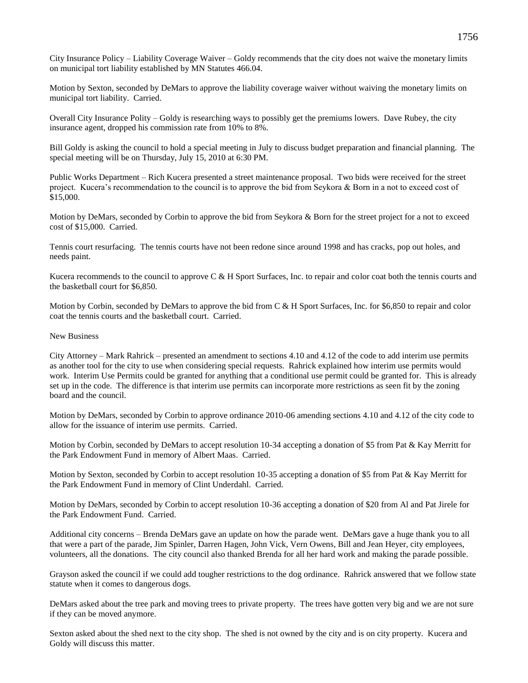City Insurance Policy – Liability Coverage Waiver – Goldy recommends that the city does not waive the monetary limits on municipal tort liability established by MN Statutes 466.04.

Motion by Sexton, seconded by DeMars to approve the liability coverage waiver without waiving the monetary limits on municipal tort liability. Carried.

Overall City Insurance Polity – Goldy is researching ways to possibly get the premiums lowers. Dave Rubey, the city insurance agent, dropped his commission rate from 10% to 8%.

Bill Goldy is asking the council to hold a special meeting in July to discuss budget preparation and financial planning. The special meeting will be on Thursday, July 15, 2010 at 6:30 PM.

Public Works Department – Rich Kucera presented a street maintenance proposal. Two bids were received for the street project. Kucera's recommendation to the council is to approve the bid from Seykora & Born in a not to exceed cost of \$15,000.

Motion by DeMars, seconded by Corbin to approve the bid from Seykora & Born for the street project for a not to exceed cost of \$15,000. Carried.

Tennis court resurfacing. The tennis courts have not been redone since around 1998 and has cracks, pop out holes, and needs paint.

Kucera recommends to the council to approve C & H Sport Surfaces, Inc. to repair and color coat both the tennis courts and the basketball court for \$6,850.

Motion by Corbin, seconded by DeMars to approve the bid from C & H Sport Surfaces, Inc. for \$6,850 to repair and color coat the tennis courts and the basketball court. Carried.

## New Business

City Attorney – Mark Rahrick – presented an amendment to sections 4.10 and 4.12 of the code to add interim use permits as another tool for the city to use when considering special requests. Rahrick explained how interim use permits would work. Interim Use Permits could be granted for anything that a conditional use permit could be granted for. This is already set up in the code. The difference is that interim use permits can incorporate more restrictions as seen fit by the zoning board and the council.

Motion by DeMars, seconded by Corbin to approve ordinance 2010-06 amending sections 4.10 and 4.12 of the city code to allow for the issuance of interim use permits. Carried.

Motion by Corbin, seconded by DeMars to accept resolution 10-34 accepting a donation of \$5 from Pat & Kay Merritt for the Park Endowment Fund in memory of Albert Maas. Carried.

Motion by Sexton, seconded by Corbin to accept resolution 10-35 accepting a donation of \$5 from Pat & Kay Merritt for the Park Endowment Fund in memory of Clint Underdahl. Carried.

Motion by DeMars, seconded by Corbin to accept resolution 10-36 accepting a donation of \$20 from Al and Pat Jirele for the Park Endowment Fund. Carried.

Additional city concerns – Brenda DeMars gave an update on how the parade went. DeMars gave a huge thank you to all that were a part of the parade, Jim Spinler, Darren Hagen, John Vick, Vern Owens, Bill and Jean Heyer, city employees, volunteers, all the donations. The city council also thanked Brenda for all her hard work and making the parade possible.

Grayson asked the council if we could add tougher restrictions to the dog ordinance. Rahrick answered that we follow state statute when it comes to dangerous dogs.

DeMars asked about the tree park and moving trees to private property. The trees have gotten very big and we are not sure if they can be moved anymore.

Sexton asked about the shed next to the city shop. The shed is not owned by the city and is on city property. Kucera and Goldy will discuss this matter.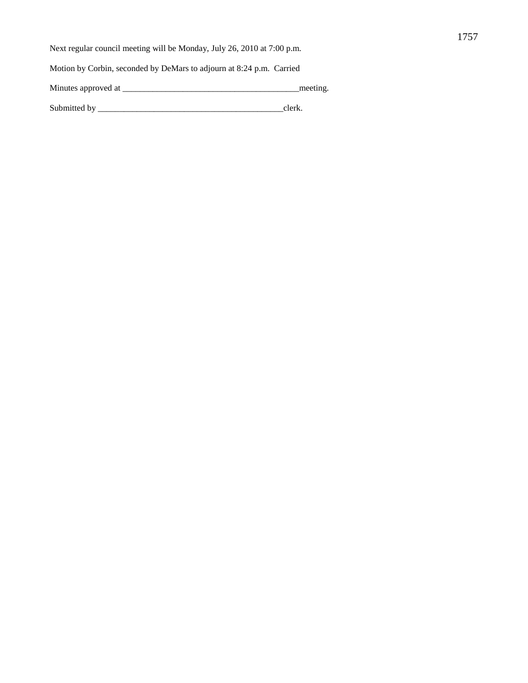Next regular council meeting will be Monday, July 26, 2010 at 7:00 p.m.

Motion by Corbin, seconded by DeMars to adjourn at 8:24 p.m. Carried

Minutes approved at \_\_\_\_\_\_\_\_\_\_\_\_\_\_\_\_\_\_\_\_\_\_\_\_\_\_\_\_\_\_\_\_\_\_\_\_\_\_\_\_\_meeting.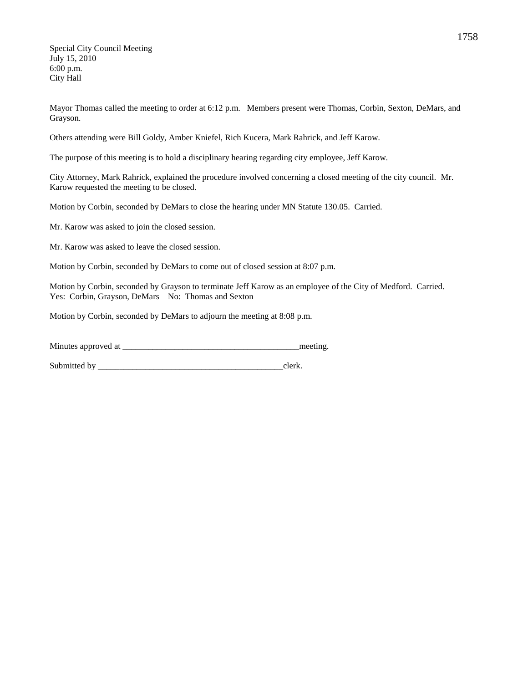Special City Council Meeting July 15, 2010 6:00 p.m. City Hall

Mayor Thomas called the meeting to order at 6:12 p.m. Members present were Thomas, Corbin, Sexton, DeMars, and Grayson.

Others attending were Bill Goldy, Amber Kniefel, Rich Kucera, Mark Rahrick, and Jeff Karow.

The purpose of this meeting is to hold a disciplinary hearing regarding city employee, Jeff Karow.

City Attorney, Mark Rahrick, explained the procedure involved concerning a closed meeting of the city council. Mr. Karow requested the meeting to be closed.

Motion by Corbin, seconded by DeMars to close the hearing under MN Statute 130.05. Carried.

Mr. Karow was asked to join the closed session.

Mr. Karow was asked to leave the closed session.

Motion by Corbin, seconded by DeMars to come out of closed session at 8:07 p.m.

Motion by Corbin, seconded by Grayson to terminate Jeff Karow as an employee of the City of Medford. Carried. Yes: Corbin, Grayson, DeMars No: Thomas and Sexton

Motion by Corbin, seconded by DeMars to adjourn the meeting at 8:08 p.m.

| Minutes approved at | meeting. |
|---------------------|----------|
|                     |          |
|                     |          |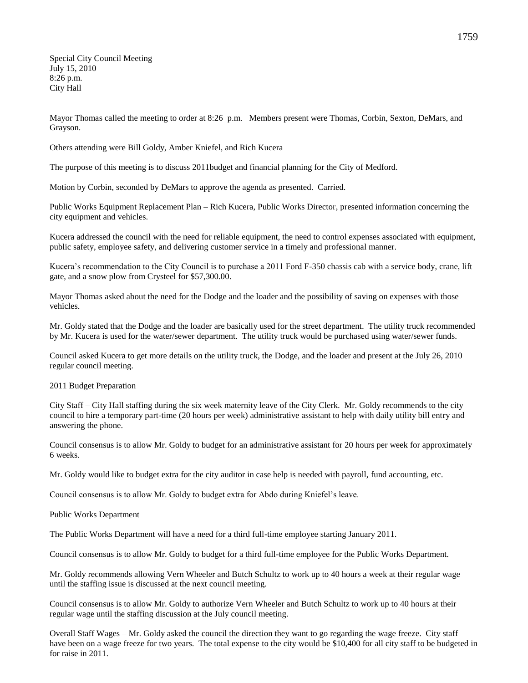Special City Council Meeting July 15, 2010 8:26 p.m. City Hall

Mayor Thomas called the meeting to order at 8:26 p.m. Members present were Thomas, Corbin, Sexton, DeMars, and Grayson.

Others attending were Bill Goldy, Amber Kniefel, and Rich Kucera

The purpose of this meeting is to discuss 2011budget and financial planning for the City of Medford.

Motion by Corbin, seconded by DeMars to approve the agenda as presented. Carried.

Public Works Equipment Replacement Plan – Rich Kucera, Public Works Director, presented information concerning the city equipment and vehicles.

Kucera addressed the council with the need for reliable equipment, the need to control expenses associated with equipment, public safety, employee safety, and delivering customer service in a timely and professional manner.

Kucera's recommendation to the City Council is to purchase a 2011 Ford F-350 chassis cab with a service body, crane, lift gate, and a snow plow from Crysteel for \$57,300.00.

Mayor Thomas asked about the need for the Dodge and the loader and the possibility of saving on expenses with those vehicles.

Mr. Goldy stated that the Dodge and the loader are basically used for the street department. The utility truck recommended by Mr. Kucera is used for the water/sewer department. The utility truck would be purchased using water/sewer funds.

Council asked Kucera to get more details on the utility truck, the Dodge, and the loader and present at the July 26, 2010 regular council meeting.

2011 Budget Preparation

City Staff – City Hall staffing during the six week maternity leave of the City Clerk. Mr. Goldy recommends to the city council to hire a temporary part-time (20 hours per week) administrative assistant to help with daily utility bill entry and answering the phone.

Council consensus is to allow Mr. Goldy to budget for an administrative assistant for 20 hours per week for approximately 6 weeks.

Mr. Goldy would like to budget extra for the city auditor in case help is needed with payroll, fund accounting, etc.

Council consensus is to allow Mr. Goldy to budget extra for Abdo during Kniefel's leave.

Public Works Department

The Public Works Department will have a need for a third full-time employee starting January 2011.

Council consensus is to allow Mr. Goldy to budget for a third full-time employee for the Public Works Department.

Mr. Goldy recommends allowing Vern Wheeler and Butch Schultz to work up to 40 hours a week at their regular wage until the staffing issue is discussed at the next council meeting.

Council consensus is to allow Mr. Goldy to authorize Vern Wheeler and Butch Schultz to work up to 40 hours at their regular wage until the staffing discussion at the July council meeting.

Overall Staff Wages – Mr. Goldy asked the council the direction they want to go regarding the wage freeze. City staff have been on a wage freeze for two years. The total expense to the city would be \$10,400 for all city staff to be budgeted in for raise in 2011.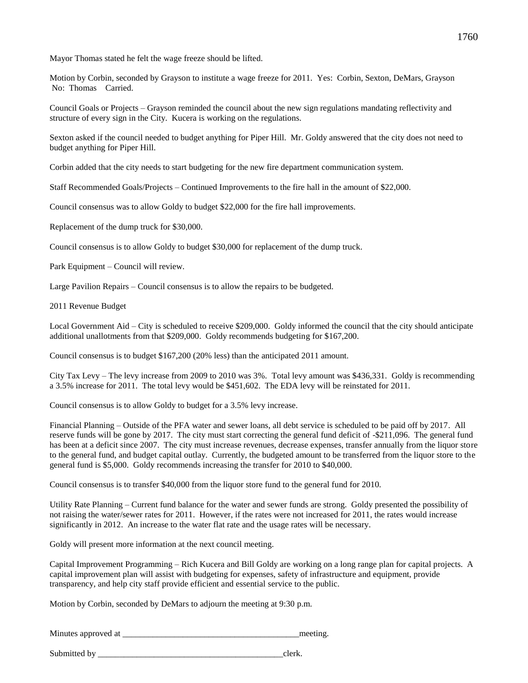Mayor Thomas stated he felt the wage freeze should be lifted.

Motion by Corbin, seconded by Grayson to institute a wage freeze for 2011. Yes: Corbin, Sexton, DeMars, Grayson No: Thomas Carried.

Council Goals or Projects – Grayson reminded the council about the new sign regulations mandating reflectivity and structure of every sign in the City. Kucera is working on the regulations.

Sexton asked if the council needed to budget anything for Piper Hill. Mr. Goldy answered that the city does not need to budget anything for Piper Hill.

Corbin added that the city needs to start budgeting for the new fire department communication system.

Staff Recommended Goals/Projects – Continued Improvements to the fire hall in the amount of \$22,000.

Council consensus was to allow Goldy to budget \$22,000 for the fire hall improvements.

Replacement of the dump truck for \$30,000.

Council consensus is to allow Goldy to budget \$30,000 for replacement of the dump truck.

Park Equipment – Council will review.

Large Pavilion Repairs – Council consensus is to allow the repairs to be budgeted.

2011 Revenue Budget

Local Government Aid – City is scheduled to receive \$209,000. Goldy informed the council that the city should anticipate additional unallotments from that \$209,000. Goldy recommends budgeting for \$167,200.

Council consensus is to budget \$167,200 (20% less) than the anticipated 2011 amount.

City Tax Levy – The levy increase from 2009 to 2010 was 3%. Total levy amount was \$436,331. Goldy is recommending a 3.5% increase for 2011. The total levy would be \$451,602. The EDA levy will be reinstated for 2011.

Council consensus is to allow Goldy to budget for a 3.5% levy increase.

Financial Planning – Outside of the PFA water and sewer loans, all debt service is scheduled to be paid off by 2017. All reserve funds will be gone by 2017. The city must start correcting the general fund deficit of -\$211,096. The general fund has been at a deficit since 2007. The city must increase revenues, decrease expenses, transfer annually from the liquor store to the general fund, and budget capital outlay. Currently, the budgeted amount to be transferred from the liquor store to the general fund is \$5,000. Goldy recommends increasing the transfer for 2010 to \$40,000.

Council consensus is to transfer \$40,000 from the liquor store fund to the general fund for 2010.

Utility Rate Planning – Current fund balance for the water and sewer funds are strong. Goldy presented the possibility of not raising the water/sewer rates for 2011. However, if the rates were not increased for 2011, the rates would increase significantly in 2012. An increase to the water flat rate and the usage rates will be necessary.

Goldy will present more information at the next council meeting.

Capital Improvement Programming – Rich Kucera and Bill Goldy are working on a long range plan for capital projects. A capital improvement plan will assist with budgeting for expenses, safety of infrastructure and equipment, provide transparency, and help city staff provide efficient and essential service to the public.

Motion by Corbin, seconded by DeMars to adjourn the meeting at 9:30 p.m.

Minutes approved at \_\_\_\_\_\_\_\_\_\_\_\_\_\_\_\_\_\_\_\_\_\_\_\_\_\_\_\_\_\_\_\_\_\_\_\_\_\_\_\_\_meeting.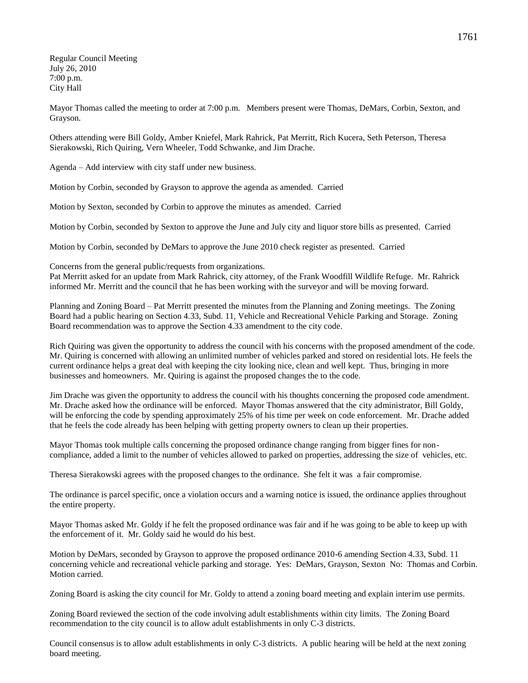Regular Council Meeting July 26, 2010 7:00 p.m. City Hall

Mayor Thomas called the meeting to order at 7:00 p.m. Members present were Thomas, DeMars, Corbin, Sexton, and Grayson.

Others attending were Bill Goldy, Amber Kniefel, Mark Rahrick, Pat Merritt, Rich Kucera, Seth Peterson, Theresa Sierakowski, Rich Quiring, Vern Wheeler, Todd Schwanke, and Jim Drache.

Agenda – Add interview with city staff under new business.

Motion by Corbin, seconded by Grayson to approve the agenda as amended. Carried

Motion by Sexton, seconded by Corbin to approve the minutes as amended. Carried

Motion by Corbin, seconded by Sexton to approve the June and July city and liquor store bills as presented. Carried

Motion by Corbin, seconded by DeMars to approve the June 2010 check register as presented. Carried

Concerns from the general public/requests from organizations.

Pat Merritt asked for an update from Mark Rahrick, city attorney, of the Frank Woodfill Wildlife Refuge. Mr. Rahrick informed Mr. Merritt and the council that he has been working with the surveyor and will be moving forward.

Planning and Zoning Board – Pat Merritt presented the minutes from the Planning and Zoning meetings. The Zoning Board had a public hearing on Section 4.33, Subd. 11, Vehicle and Recreational Vehicle Parking and Storage. Zoning Board recommendation was to approve the Section 4.33 amendment to the city code.

Rich Quiring was given the opportunity to address the council with his concerns with the proposed amendment of the code. Mr. Quiring is concerned with allowing an unlimited number of vehicles parked and stored on residential lots. He feels the current ordinance helps a great deal with keeping the city looking nice, clean and well kept. Thus, bringing in more businesses and homeowners. Mr. Quiring is against the proposed changes the to the code.

Jim Drache was given the opportunity to address the council with his thoughts concerning the proposed code amendment. Mr. Drache asked how the ordinance will be enforced. Mayor Thomas answered that the city administrator, Bill Goldy, will be enforcing the code by spending approximately 25% of his time per week on code enforcement. Mr. Drache added that he feels the code already has been helping with getting property owners to clean up their properties.

Mayor Thomas took multiple calls concerning the proposed ordinance change ranging from bigger fines for noncompliance, added a limit to the number of vehicles allowed to parked on properties, addressing the size of vehicles, etc.

Theresa Sierakowski agrees with the proposed changes to the ordinance. She felt it was a fair compromise.

The ordinance is parcel specific, once a violation occurs and a warning notice is issued, the ordinance applies throughout the entire property.

Mayor Thomas asked Mr. Goldy if he felt the proposed ordinance was fair and if he was going to be able to keep up with the enforcement of it. Mr. Goldy said he would do his best.

Motion by DeMars, seconded by Grayson to approve the proposed ordinance 2010-6 amending Section 4.33, Subd. 11 concerning vehicle and recreational vehicle parking and storage. Yes: DeMars, Grayson, Sexton No: Thomas and Corbin. Motion carried.

Zoning Board is asking the city council for Mr. Goldy to attend a zoning board meeting and explain interim use permits.

Zoning Board reviewed the section of the code involving adult establishments within city limits. The Zoning Board recommendation to the city council is to allow adult establishments in only C-3 districts.

Council consensus is to allow adult establishments in only C-3 districts. A public hearing will be held at the next zoning board meeting.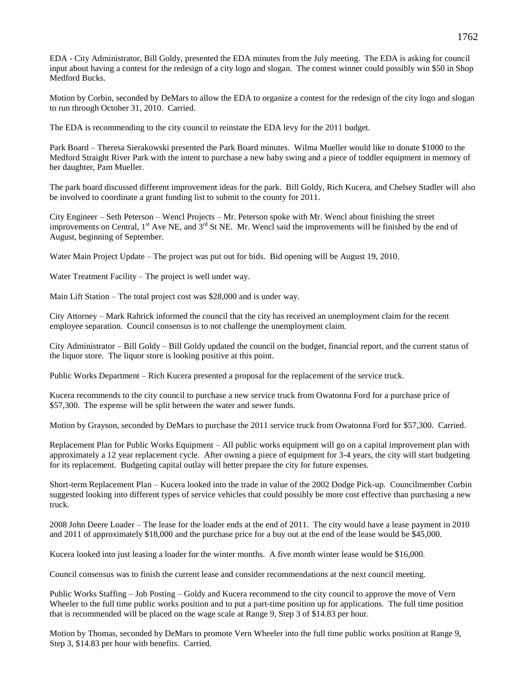EDA - City Administrator, Bill Goldy, presented the EDA minutes from the July meeting. The EDA is asking for council input about having a contest for the redesign of a city logo and slogan. The contest winner could possibly win \$50 in Shop Medford Bucks.

Motion by Corbin, seconded by DeMars to allow the EDA to organize a contest for the redesign of the city logo and slogan to run through October 31, 2010. Carried.

The EDA is recommending to the city council to reinstate the EDA levy for the 2011 budget.

Park Board – Theresa Sierakowski presented the Park Board minutes. Wilma Mueller would like to donate \$1000 to the Medford Straight River Park with the intent to purchase a new baby swing and a piece of toddler equipment in memory of her daughter, Pam Mueller.

The park board discussed different improvement ideas for the park. Bill Goldy, Rich Kucera, and Chelsey Stadler will also be involved to coordinate a grant funding list to submit to the county for 2011.

City Engineer – Seth Peterson – Wencl Projects – Mr. Peterson spoke with Mr. Wencl about finishing the street improvements on Central, 1<sup>st</sup> Ave NE, and 3<sup>rd</sup> St NE. Mr. Wencl said the improvements will be finished by the end of August, beginning of September.

Water Main Project Update – The project was put out for bids. Bid opening will be August 19, 2010.

Water Treatment Facility – The project is well under way.

Main Lift Station – The total project cost was \$28,000 and is under way.

City Attorney – Mark Rahrick informed the council that the city has received an unemployment claim for the recent employee separation. Council consensus is to not challenge the unemployment claim.

City Administrator – Bill Goldy – Bill Goldy updated the council on the budget, financial report, and the current status of the liquor store. The liquor store is looking positive at this point.

Public Works Department – Rich Kucera presented a proposal for the replacement of the service truck.

Kucera recommends to the city council to purchase a new service truck from Owatonna Ford for a purchase price of \$57,300. The expense will be split between the water and sewer funds.

Motion by Grayson, seconded by DeMars to purchase the 2011 service truck from Owatonna Ford for \$57,300. Carried.

Replacement Plan for Public Works Equipment – All public works equipment will go on a capital improvement plan with approximately a 12 year replacement cycle. After owning a piece of equipment for 3-4 years, the city will start budgeting for its replacement. Budgeting capital outlay will better prepare the city for future expenses.

Short-term Replacement Plan – Kucera looked into the trade in value of the 2002 Dodge Pick-up. Councilmember Corbin suggested looking into different types of service vehicles that could possibly be more cost effective than purchasing a new truck.

2008 John Deere Loader – The lease for the loader ends at the end of 2011. The city would have a lease payment in 2010 and 2011 of approximately \$18,000 and the purchase price for a buy out at the end of the lease would be \$45,000.

Kucera looked into just leasing a loader for the winter months. A five month winter lease would be \$16,000.

Council consensus was to finish the current lease and consider recommendations at the next council meeting.

Public Works Staffing – Job Posting – Goldy and Kucera recommend to the city council to approve the move of Vern Wheeler to the full time public works position and to put a part-time position up for applications. The full time position that is recommended will be placed on the wage scale at Range 9, Step 3 of \$14.83 per hour.

Motion by Thomas, seconded by DeMars to promote Vern Wheeler into the full time public works position at Range 9, Step 3, \$14.83 per hour with benefits. Carried.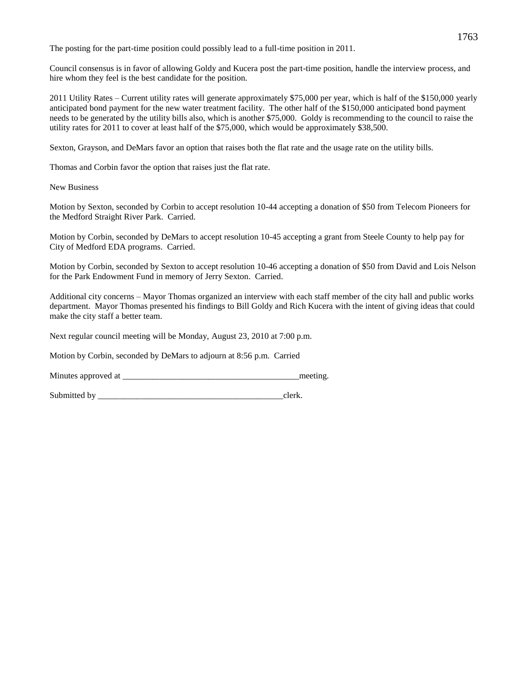The posting for the part-time position could possibly lead to a full-time position in 2011.

Council consensus is in favor of allowing Goldy and Kucera post the part-time position, handle the interview process, and hire whom they feel is the best candidate for the position.

2011 Utility Rates – Current utility rates will generate approximately \$75,000 per year, which is half of the \$150,000 yearly anticipated bond payment for the new water treatment facility. The other half of the \$150,000 anticipated bond payment needs to be generated by the utility bills also, which is another \$75,000. Goldy is recommending to the council to raise the utility rates for 2011 to cover at least half of the \$75,000, which would be approximately \$38,500.

Sexton, Grayson, and DeMars favor an option that raises both the flat rate and the usage rate on the utility bills.

Thomas and Corbin favor the option that raises just the flat rate.

New Business

Motion by Sexton, seconded by Corbin to accept resolution 10-44 accepting a donation of \$50 from Telecom Pioneers for the Medford Straight River Park. Carried.

Motion by Corbin, seconded by DeMars to accept resolution 10-45 accepting a grant from Steele County to help pay for City of Medford EDA programs. Carried.

Motion by Corbin, seconded by Sexton to accept resolution 10-46 accepting a donation of \$50 from David and Lois Nelson for the Park Endowment Fund in memory of Jerry Sexton. Carried.

Additional city concerns – Mayor Thomas organized an interview with each staff member of the city hall and public works department. Mayor Thomas presented his findings to Bill Goldy and Rich Kucera with the intent of giving ideas that could make the city staff a better team.

Next regular council meeting will be Monday, August 23, 2010 at 7:00 p.m.

Motion by Corbin, seconded by DeMars to adjourn at 8:56 p.m. Carried

Minutes approved at the meeting.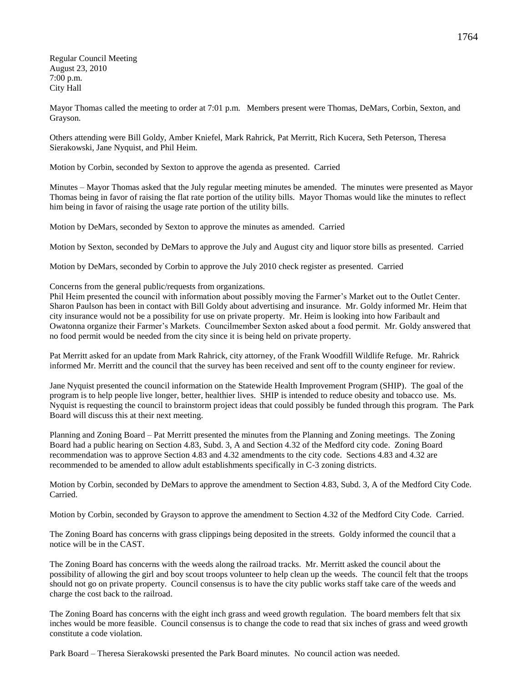Regular Council Meeting August 23, 2010 7:00 p.m. City Hall

Mayor Thomas called the meeting to order at 7:01 p.m. Members present were Thomas, DeMars, Corbin, Sexton, and Grayson.

Others attending were Bill Goldy, Amber Kniefel, Mark Rahrick, Pat Merritt, Rich Kucera, Seth Peterson, Theresa Sierakowski, Jane Nyquist, and Phil Heim.

Motion by Corbin, seconded by Sexton to approve the agenda as presented. Carried

Minutes – Mayor Thomas asked that the July regular meeting minutes be amended. The minutes were presented as Mayor Thomas being in favor of raising the flat rate portion of the utility bills. Mayor Thomas would like the minutes to reflect him being in favor of raising the usage rate portion of the utility bills.

Motion by DeMars, seconded by Sexton to approve the minutes as amended. Carried

Motion by Sexton, seconded by DeMars to approve the July and August city and liquor store bills as presented. Carried

Motion by DeMars, seconded by Corbin to approve the July 2010 check register as presented. Carried

Concerns from the general public/requests from organizations.

Phil Heim presented the council with information about possibly moving the Farmer's Market out to the Outlet Center. Sharon Paulson has been in contact with Bill Goldy about advertising and insurance. Mr. Goldy informed Mr. Heim that city insurance would not be a possibility for use on private property. Mr. Heim is looking into how Faribault and Owatonna organize their Farmer's Markets. Councilmember Sexton asked about a food permit. Mr. Goldy answered that no food permit would be needed from the city since it is being held on private property.

Pat Merritt asked for an update from Mark Rahrick, city attorney, of the Frank Woodfill Wildlife Refuge. Mr. Rahrick informed Mr. Merritt and the council that the survey has been received and sent off to the county engineer for review.

Jane Nyquist presented the council information on the Statewide Health Improvement Program (SHIP). The goal of the program is to help people live longer, better, healthier lives. SHIP is intended to reduce obesity and tobacco use. Ms. Nyquist is requesting the council to brainstorm project ideas that could possibly be funded through this program. The Park Board will discuss this at their next meeting.

Planning and Zoning Board – Pat Merritt presented the minutes from the Planning and Zoning meetings. The Zoning Board had a public hearing on Section 4.83, Subd. 3, A and Section 4.32 of the Medford city code. Zoning Board recommendation was to approve Section 4.83 and 4.32 amendments to the city code. Sections 4.83 and 4.32 are recommended to be amended to allow adult establishments specifically in C-3 zoning districts.

Motion by Corbin, seconded by DeMars to approve the amendment to Section 4.83, Subd. 3, A of the Medford City Code. Carried.

Motion by Corbin, seconded by Grayson to approve the amendment to Section 4.32 of the Medford City Code. Carried.

The Zoning Board has concerns with grass clippings being deposited in the streets. Goldy informed the council that a notice will be in the CAST.

The Zoning Board has concerns with the weeds along the railroad tracks. Mr. Merritt asked the council about the possibility of allowing the girl and boy scout troops volunteer to help clean up the weeds. The council felt that the troops should not go on private property. Council consensus is to have the city public works staff take care of the weeds and charge the cost back to the railroad.

The Zoning Board has concerns with the eight inch grass and weed growth regulation. The board members felt that six inches would be more feasible. Council consensus is to change the code to read that six inches of grass and weed growth constitute a code violation.

Park Board – Theresa Sierakowski presented the Park Board minutes. No council action was needed.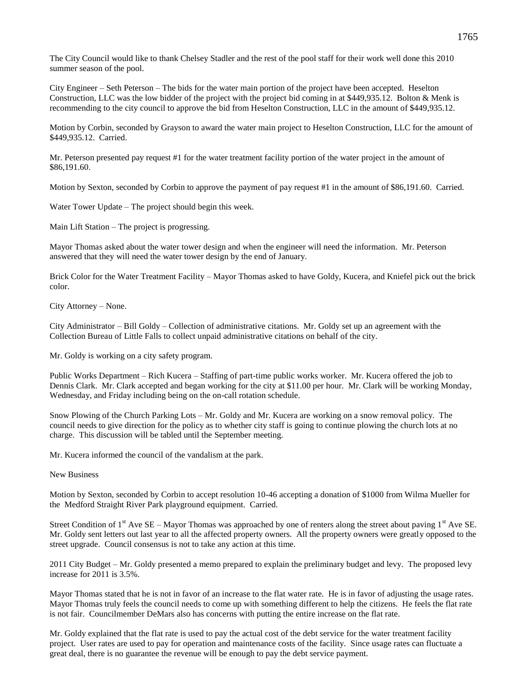The City Council would like to thank Chelsey Stadler and the rest of the pool staff for their work well done this 2010 summer season of the pool.

City Engineer – Seth Peterson – The bids for the water main portion of the project have been accepted. Heselton Construction, LLC was the low bidder of the project with the project bid coming in at \$449,935.12. Bolton & Menk is recommending to the city council to approve the bid from Heselton Construction, LLC in the amount of \$449,935.12.

Motion by Corbin, seconded by Grayson to award the water main project to Heselton Construction, LLC for the amount of \$449,935.12. Carried.

Mr. Peterson presented pay request #1 for the water treatment facility portion of the water project in the amount of \$86,191.60.

Motion by Sexton, seconded by Corbin to approve the payment of pay request #1 in the amount of \$86,191.60. Carried.

Water Tower Update – The project should begin this week.

Main Lift Station – The project is progressing.

Mayor Thomas asked about the water tower design and when the engineer will need the information. Mr. Peterson answered that they will need the water tower design by the end of January.

Brick Color for the Water Treatment Facility – Mayor Thomas asked to have Goldy, Kucera, and Kniefel pick out the brick color.

City Attorney – None.

City Administrator – Bill Goldy – Collection of administrative citations. Mr. Goldy set up an agreement with the Collection Bureau of Little Falls to collect unpaid administrative citations on behalf of the city.

Mr. Goldy is working on a city safety program.

Public Works Department – Rich Kucera – Staffing of part-time public works worker. Mr. Kucera offered the job to Dennis Clark. Mr. Clark accepted and began working for the city at \$11.00 per hour. Mr. Clark will be working Monday, Wednesday, and Friday including being on the on-call rotation schedule.

Snow Plowing of the Church Parking Lots – Mr. Goldy and Mr. Kucera are working on a snow removal policy. The council needs to give direction for the policy as to whether city staff is going to continue plowing the church lots at no charge. This discussion will be tabled until the September meeting.

Mr. Kucera informed the council of the vandalism at the park.

New Business

Motion by Sexton, seconded by Corbin to accept resolution 10-46 accepting a donation of \$1000 from Wilma Mueller for the Medford Straight River Park playground equipment. Carried.

Street Condition of 1<sup>st</sup> Ave SE – Mayor Thomas was approached by one of renters along the street about paving  $1<sup>st</sup>$  Ave SE. Mr. Goldy sent letters out last year to all the affected property owners. All the property owners were greatly opposed to the street upgrade. Council consensus is not to take any action at this time.

2011 City Budget – Mr. Goldy presented a memo prepared to explain the preliminary budget and levy. The proposed levy increase for 2011 is 3.5%.

Mayor Thomas stated that he is not in favor of an increase to the flat water rate. He is in favor of adjusting the usage rates. Mayor Thomas truly feels the council needs to come up with something different to help the citizens. He feels the flat rate is not fair. Councilmember DeMars also has concerns with putting the entire increase on the flat rate.

Mr. Goldy explained that the flat rate is used to pay the actual cost of the debt service for the water treatment facility project. User rates are used to pay for operation and maintenance costs of the facility. Since usage rates can fluctuate a great deal, there is no guarantee the revenue will be enough to pay the debt service payment.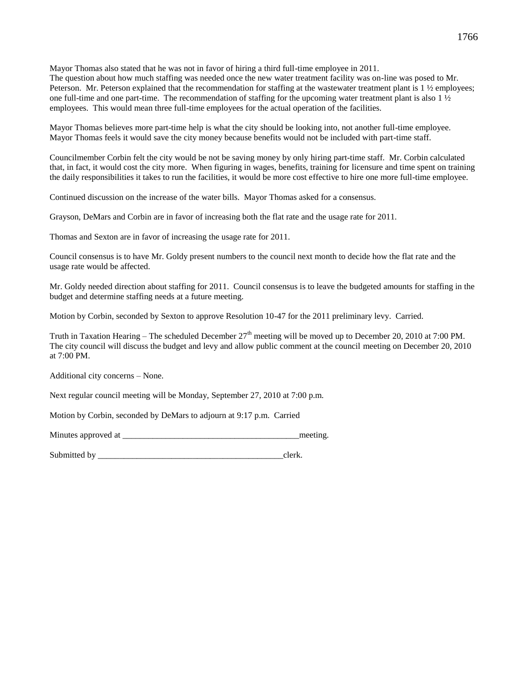Mayor Thomas also stated that he was not in favor of hiring a third full-time employee in 2011. The question about how much staffing was needed once the new water treatment facility was on-line was posed to Mr. Peterson. Mr. Peterson explained that the recommendation for staffing at the wastewater treatment plant is 1 ½ employees; one full-time and one part-time. The recommendation of staffing for the upcoming water treatment plant is also  $1\frac{1}{2}$ employees. This would mean three full-time employees for the actual operation of the facilities.

Mayor Thomas believes more part-time help is what the city should be looking into, not another full-time employee. Mayor Thomas feels it would save the city money because benefits would not be included with part-time staff.

Councilmember Corbin felt the city would be not be saving money by only hiring part-time staff. Mr. Corbin calculated that, in fact, it would cost the city more. When figuring in wages, benefits, training for licensure and time spent on training the daily responsibilities it takes to run the facilities, it would be more cost effective to hire one more full-time employee.

Continued discussion on the increase of the water bills. Mayor Thomas asked for a consensus.

Grayson, DeMars and Corbin are in favor of increasing both the flat rate and the usage rate for 2011.

Thomas and Sexton are in favor of increasing the usage rate for 2011.

Council consensus is to have Mr. Goldy present numbers to the council next month to decide how the flat rate and the usage rate would be affected.

Mr. Goldy needed direction about staffing for 2011. Council consensus is to leave the budgeted amounts for staffing in the budget and determine staffing needs at a future meeting.

Motion by Corbin, seconded by Sexton to approve Resolution 10-47 for the 2011 preliminary levy. Carried.

Truth in Taxation Hearing – The scheduled December  $27<sup>th</sup>$  meeting will be moved up to December 20, 2010 at 7:00 PM. The city council will discuss the budget and levy and allow public comment at the council meeting on December 20, 2010 at 7:00 PM.

Additional city concerns – None.

Next regular council meeting will be Monday, September 27, 2010 at 7:00 p.m.

Motion by Corbin, seconded by DeMars to adjourn at 9:17 p.m. Carried

Minutes approved at \_\_\_\_\_\_\_\_\_\_\_\_\_\_\_\_\_\_\_\_\_\_\_\_\_\_\_\_\_\_\_\_\_\_\_\_\_\_\_\_\_meeting.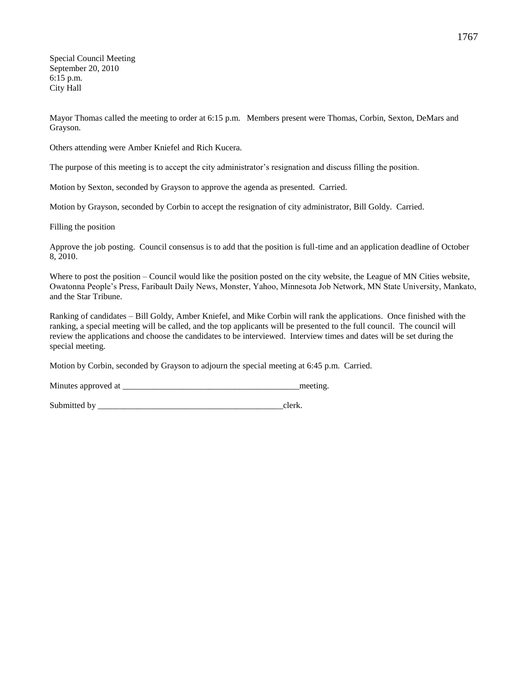Special Council Meeting September 20, 2010 6:15 p.m. City Hall

Mayor Thomas called the meeting to order at 6:15 p.m. Members present were Thomas, Corbin, Sexton, DeMars and Grayson.

Others attending were Amber Kniefel and Rich Kucera.

The purpose of this meeting is to accept the city administrator's resignation and discuss filling the position.

Motion by Sexton, seconded by Grayson to approve the agenda as presented. Carried.

Motion by Grayson, seconded by Corbin to accept the resignation of city administrator, Bill Goldy. Carried.

Filling the position

Approve the job posting. Council consensus is to add that the position is full-time and an application deadline of October 8, 2010.

Where to post the position – Council would like the position posted on the city website, the League of MN Cities website, Owatonna People's Press, Faribault Daily News, Monster, Yahoo, Minnesota Job Network, MN State University, Mankato, and the Star Tribune.

Ranking of candidates – Bill Goldy, Amber Kniefel, and Mike Corbin will rank the applications. Once finished with the ranking, a special meeting will be called, and the top applicants will be presented to the full council. The council will review the applications and choose the candidates to be interviewed. Interview times and dates will be set during the special meeting.

Motion by Corbin, seconded by Grayson to adjourn the special meeting at 6:45 p.m. Carried.

Minutes approved at \_\_\_\_\_\_\_\_\_\_\_\_\_\_\_\_\_\_\_\_\_\_\_\_\_\_\_\_\_\_\_\_\_\_\_\_\_\_\_\_\_meeting.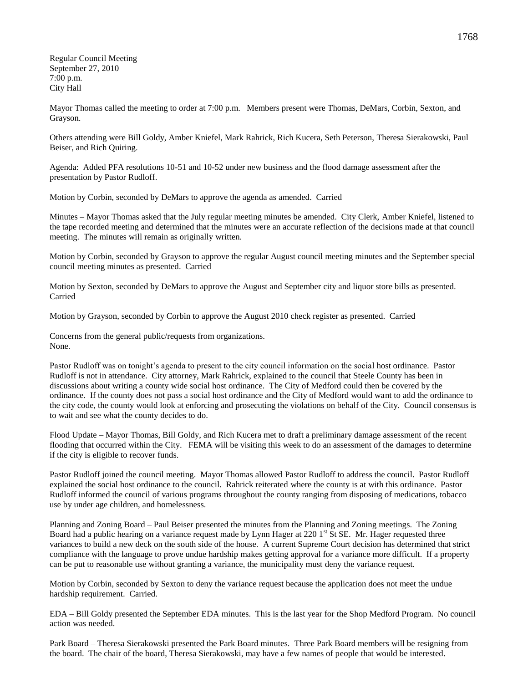Regular Council Meeting September 27, 2010 7:00 p.m. City Hall

Mayor Thomas called the meeting to order at 7:00 p.m. Members present were Thomas, DeMars, Corbin, Sexton, and Grayson.

Others attending were Bill Goldy, Amber Kniefel, Mark Rahrick, Rich Kucera, Seth Peterson, Theresa Sierakowski, Paul Beiser, and Rich Quiring.

Agenda: Added PFA resolutions 10-51 and 10-52 under new business and the flood damage assessment after the presentation by Pastor Rudloff.

Motion by Corbin, seconded by DeMars to approve the agenda as amended. Carried

Minutes – Mayor Thomas asked that the July regular meeting minutes be amended. City Clerk, Amber Kniefel, listened to the tape recorded meeting and determined that the minutes were an accurate reflection of the decisions made at that council meeting. The minutes will remain as originally written.

Motion by Corbin, seconded by Grayson to approve the regular August council meeting minutes and the September special council meeting minutes as presented. Carried

Motion by Sexton, seconded by DeMars to approve the August and September city and liquor store bills as presented. Carried

Motion by Grayson, seconded by Corbin to approve the August 2010 check register as presented. Carried

Concerns from the general public/requests from organizations. None.

Pastor Rudloff was on tonight's agenda to present to the city council information on the social host ordinance. Pastor Rudloff is not in attendance. City attorney, Mark Rahrick, explained to the council that Steele County has been in discussions about writing a county wide social host ordinance. The City of Medford could then be covered by the ordinance. If the county does not pass a social host ordinance and the City of Medford would want to add the ordinance to the city code, the county would look at enforcing and prosecuting the violations on behalf of the City. Council consensus is to wait and see what the county decides to do.

Flood Update – Mayor Thomas, Bill Goldy, and Rich Kucera met to draft a preliminary damage assessment of the recent flooding that occurred within the City. FEMA will be visiting this week to do an assessment of the damages to determine if the city is eligible to recover funds.

Pastor Rudloff joined the council meeting. Mayor Thomas allowed Pastor Rudloff to address the council. Pastor Rudloff explained the social host ordinance to the council. Rahrick reiterated where the county is at with this ordinance. Pastor Rudloff informed the council of various programs throughout the county ranging from disposing of medications, tobacco use by under age children, and homelessness.

Planning and Zoning Board – Paul Beiser presented the minutes from the Planning and Zoning meetings. The Zoning Board had a public hearing on a variance request made by Lynn Hager at 220 1<sup>st</sup> St SE. Mr. Hager requested three variances to build a new deck on the south side of the house. A current Supreme Court decision has determined that strict compliance with the language to prove undue hardship makes getting approval for a variance more difficult. If a property can be put to reasonable use without granting a variance, the municipality must deny the variance request.

Motion by Corbin, seconded by Sexton to deny the variance request because the application does not meet the undue hardship requirement. Carried.

EDA – Bill Goldy presented the September EDA minutes. This is the last year for the Shop Medford Program. No council action was needed.

Park Board – Theresa Sierakowski presented the Park Board minutes. Three Park Board members will be resigning from the board. The chair of the board, Theresa Sierakowski, may have a few names of people that would be interested.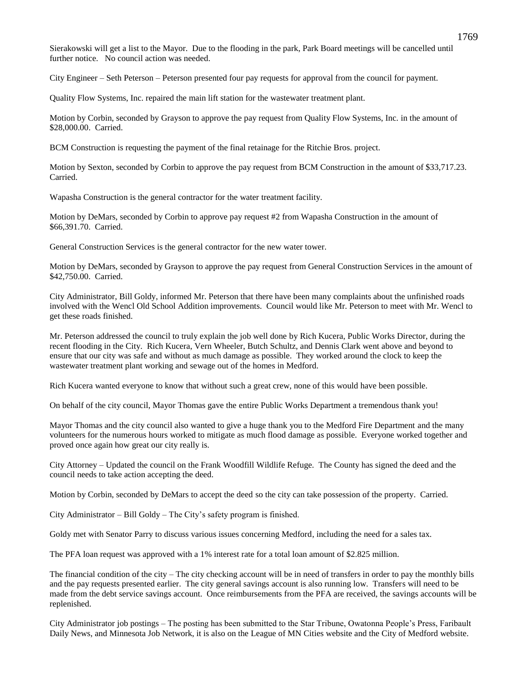Sierakowski will get a list to the Mayor. Due to the flooding in the park, Park Board meetings will be cancelled until further notice. No council action was needed.

City Engineer – Seth Peterson – Peterson presented four pay requests for approval from the council for payment.

Quality Flow Systems, Inc. repaired the main lift station for the wastewater treatment plant.

Motion by Corbin, seconded by Grayson to approve the pay request from Quality Flow Systems, Inc. in the amount of \$28,000.00. Carried.

BCM Construction is requesting the payment of the final retainage for the Ritchie Bros. project.

Motion by Sexton, seconded by Corbin to approve the pay request from BCM Construction in the amount of \$33,717.23. Carried.

Wapasha Construction is the general contractor for the water treatment facility.

Motion by DeMars, seconded by Corbin to approve pay request #2 from Wapasha Construction in the amount of \$66,391.70. Carried.

General Construction Services is the general contractor for the new water tower.

Motion by DeMars, seconded by Grayson to approve the pay request from General Construction Services in the amount of \$42,750.00. Carried.

City Administrator, Bill Goldy, informed Mr. Peterson that there have been many complaints about the unfinished roads involved with the Wencl Old School Addition improvements. Council would like Mr. Peterson to meet with Mr. Wencl to get these roads finished.

Mr. Peterson addressed the council to truly explain the job well done by Rich Kucera, Public Works Director, during the recent flooding in the City. Rich Kucera, Vern Wheeler, Butch Schultz, and Dennis Clark went above and beyond to ensure that our city was safe and without as much damage as possible. They worked around the clock to keep the wastewater treatment plant working and sewage out of the homes in Medford.

Rich Kucera wanted everyone to know that without such a great crew, none of this would have been possible.

On behalf of the city council, Mayor Thomas gave the entire Public Works Department a tremendous thank you!

Mayor Thomas and the city council also wanted to give a huge thank you to the Medford Fire Department and the many volunteers for the numerous hours worked to mitigate as much flood damage as possible. Everyone worked together and proved once again how great our city really is.

City Attorney – Updated the council on the Frank Woodfill Wildlife Refuge. The County has signed the deed and the council needs to take action accepting the deed.

Motion by Corbin, seconded by DeMars to accept the deed so the city can take possession of the property. Carried.

City Administrator – Bill Goldy – The City's safety program is finished.

Goldy met with Senator Parry to discuss various issues concerning Medford, including the need for a sales tax.

The PFA loan request was approved with a 1% interest rate for a total loan amount of \$2.825 million.

The financial condition of the city – The city checking account will be in need of transfers in order to pay the monthly bills and the pay requests presented earlier. The city general savings account is also running low. Transfers will need to be made from the debt service savings account. Once reimbursements from the PFA are received, the savings accounts will be replenished.

City Administrator job postings – The posting has been submitted to the Star Tribune, Owatonna People's Press, Faribault Daily News, and Minnesota Job Network, it is also on the League of MN Cities website and the City of Medford website.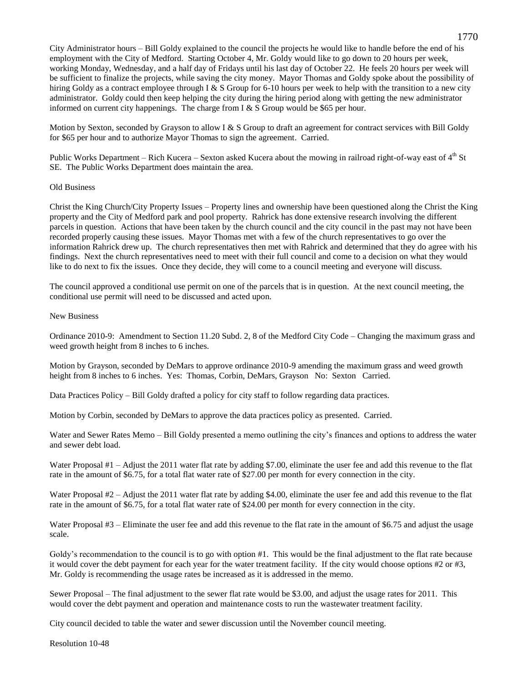City Administrator hours – Bill Goldy explained to the council the projects he would like to handle before the end of his employment with the City of Medford. Starting October 4, Mr. Goldy would like to go down to 20 hours per week, working Monday, Wednesday, and a half day of Fridays until his last day of October 22. He feels 20 hours per week will be sufficient to finalize the projects, while saving the city money. Mayor Thomas and Goldy spoke about the possibility of hiring Goldy as a contract employee through I & S Group for 6-10 hours per week to help with the transition to a new city administrator. Goldy could then keep helping the city during the hiring period along with getting the new administrator informed on current city happenings. The charge from I  $&$  S Group would be \$65 per hour.

Motion by Sexton, seconded by Grayson to allow I & S Group to draft an agreement for contract services with Bill Goldy for \$65 per hour and to authorize Mayor Thomas to sign the agreement. Carried.

Public Works Department – Rich Kucera – Sexton asked Kucera about the mowing in railroad right-of-way east of  $4<sup>th</sup>$  St SE. The Public Works Department does maintain the area.

#### Old Business

Christ the King Church/City Property Issues – Property lines and ownership have been questioned along the Christ the King property and the City of Medford park and pool property. Rahrick has done extensive research involving the different parcels in question. Actions that have been taken by the church council and the city council in the past may not have been recorded properly causing these issues. Mayor Thomas met with a few of the church representatives to go over the information Rahrick drew up. The church representatives then met with Rahrick and determined that they do agree with his findings. Next the church representatives need to meet with their full council and come to a decision on what they would like to do next to fix the issues. Once they decide, they will come to a council meeting and everyone will discuss.

The council approved a conditional use permit on one of the parcels that is in question. At the next council meeting, the conditional use permit will need to be discussed and acted upon.

#### New Business

Ordinance 2010-9: Amendment to Section 11.20 Subd. 2, 8 of the Medford City Code – Changing the maximum grass and weed growth height from 8 inches to 6 inches.

Motion by Grayson, seconded by DeMars to approve ordinance 2010-9 amending the maximum grass and weed growth height from 8 inches to 6 inches. Yes: Thomas, Corbin, DeMars, Grayson No: Sexton Carried.

Data Practices Policy – Bill Goldy drafted a policy for city staff to follow regarding data practices.

Motion by Corbin, seconded by DeMars to approve the data practices policy as presented. Carried.

Water and Sewer Rates Memo – Bill Goldy presented a memo outlining the city's finances and options to address the water and sewer debt load.

Water Proposal #1 – Adjust the 2011 water flat rate by adding \$7.00, eliminate the user fee and add this revenue to the flat rate in the amount of \$6.75, for a total flat water rate of \$27.00 per month for every connection in the city.

Water Proposal #2 – Adjust the 2011 water flat rate by adding \$4.00, eliminate the user fee and add this revenue to the flat rate in the amount of \$6.75, for a total flat water rate of \$24.00 per month for every connection in the city.

Water Proposal #3 – Eliminate the user fee and add this revenue to the flat rate in the amount of \$6.75 and adjust the usage scale.

Goldy's recommendation to the council is to go with option #1. This would be the final adjustment to the flat rate because it would cover the debt payment for each year for the water treatment facility. If the city would choose options #2 or #3, Mr. Goldy is recommending the usage rates be increased as it is addressed in the memo.

Sewer Proposal – The final adjustment to the sewer flat rate would be \$3.00, and adjust the usage rates for 2011. This would cover the debt payment and operation and maintenance costs to run the wastewater treatment facility.

City council decided to table the water and sewer discussion until the November council meeting.

Resolution 10-48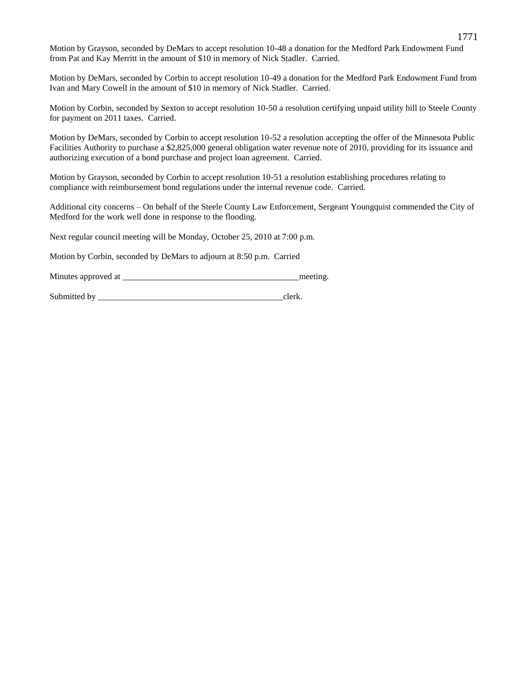Motion by Grayson, seconded by DeMars to accept resolution 10-48 a donation for the Medford Park Endowment Fund from Pat and Kay Merritt in the amount of \$10 in memory of Nick Stadler. Carried.

Motion by DeMars, seconded by Corbin to accept resolution 10-49 a donation for the Medford Park Endowment Fund from Ivan and Mary Cowell in the amount of \$10 in memory of Nick Stadler. Carried.

Motion by Corbin, seconded by Sexton to accept resolution 10-50 a resolution certifying unpaid utility bill to Steele County for payment on 2011 taxes. Carried.

Motion by DeMars, seconded by Corbin to accept resolution 10-52 a resolution accepting the offer of the Minnesota Public Facilities Authority to purchase a \$2,825,000 general obligation water revenue note of 2010, providing for its issuance and authorizing execution of a bond purchase and project loan agreement. Carried.

Motion by Grayson, seconded by Corbin to accept resolution 10-51 a resolution establishing procedures relating to compliance with reimbursement bond regulations under the internal revenue code. Carried.

Additional city concerns – On behalf of the Steele County Law Enforcement, Sergeant Youngquist commended the City of Medford for the work well done in response to the flooding.

Next regular council meeting will be Monday, October 25, 2010 at 7:00 p.m.

Motion by Corbin, seconded by DeMars to adjourn at 8:50 p.m. Carried

Minutes approved at the meeting.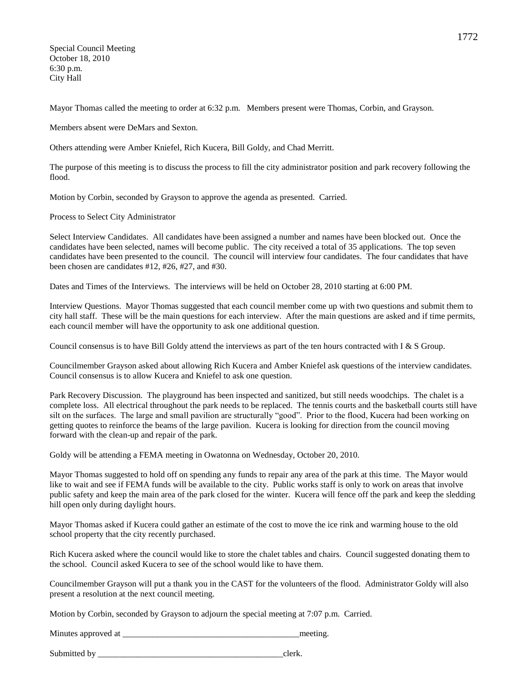Special Council Meeting October 18, 2010 6:30 p.m. City Hall

Mayor Thomas called the meeting to order at 6:32 p.m. Members present were Thomas, Corbin, and Grayson.

Members absent were DeMars and Sexton.

Others attending were Amber Kniefel, Rich Kucera, Bill Goldy, and Chad Merritt.

The purpose of this meeting is to discuss the process to fill the city administrator position and park recovery following the flood.

Motion by Corbin, seconded by Grayson to approve the agenda as presented. Carried.

Process to Select City Administrator

Select Interview Candidates. All candidates have been assigned a number and names have been blocked out. Once the candidates have been selected, names will become public. The city received a total of 35 applications. The top seven candidates have been presented to the council. The council will interview four candidates. The four candidates that have been chosen are candidates #12, #26, #27, and #30.

Dates and Times of the Interviews. The interviews will be held on October 28, 2010 starting at 6:00 PM.

Interview Questions. Mayor Thomas suggested that each council member come up with two questions and submit them to city hall staff. These will be the main questions for each interview. After the main questions are asked and if time permits, each council member will have the opportunity to ask one additional question.

Council consensus is to have Bill Goldy attend the interviews as part of the ten hours contracted with I & S Group.

Councilmember Grayson asked about allowing Rich Kucera and Amber Kniefel ask questions of the interview candidates. Council consensus is to allow Kucera and Kniefel to ask one question.

Park Recovery Discussion. The playground has been inspected and sanitized, but still needs woodchips. The chalet is a complete loss. All electrical throughout the park needs to be replaced. The tennis courts and the basketball courts still have silt on the surfaces. The large and small pavilion are structurally "good". Prior to the flood, Kucera had been working on getting quotes to reinforce the beams of the large pavilion. Kucera is looking for direction from the council moving forward with the clean-up and repair of the park.

Goldy will be attending a FEMA meeting in Owatonna on Wednesday, October 20, 2010.

Mayor Thomas suggested to hold off on spending any funds to repair any area of the park at this time. The Mayor would like to wait and see if FEMA funds will be available to the city. Public works staff is only to work on areas that involve public safety and keep the main area of the park closed for the winter. Kucera will fence off the park and keep the sledding hill open only during daylight hours.

Mayor Thomas asked if Kucera could gather an estimate of the cost to move the ice rink and warming house to the old school property that the city recently purchased.

Rich Kucera asked where the council would like to store the chalet tables and chairs. Council suggested donating them to the school. Council asked Kucera to see of the school would like to have them.

Councilmember Grayson will put a thank you in the CAST for the volunteers of the flood. Administrator Goldy will also present a resolution at the next council meeting.

Motion by Corbin, seconded by Grayson to adjourn the special meeting at 7:07 p.m. Carried.

Minutes approved at \_\_\_\_\_\_\_\_\_\_\_\_\_\_\_\_\_\_\_\_\_\_\_\_\_\_\_\_\_\_\_\_\_\_\_\_\_\_\_\_\_meeting.

| Submitted b<br>hv |  |  |
|-------------------|--|--|
|-------------------|--|--|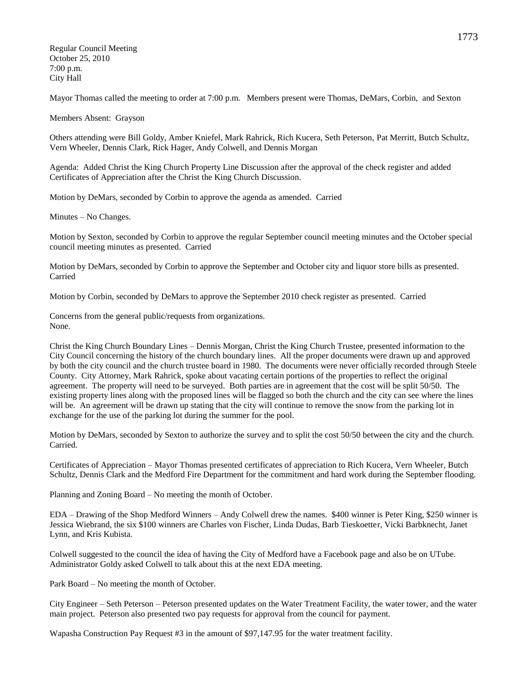Regular Council Meeting October 25, 2010 7:00 p.m. City Hall

Mayor Thomas called the meeting to order at 7:00 p.m. Members present were Thomas, DeMars, Corbin, and Sexton

Members Absent: Grayson

Others attending were Bill Goldy, Amber Kniefel, Mark Rahrick, Rich Kucera, Seth Peterson, Pat Merritt, Butch Schultz, Vern Wheeler, Dennis Clark, Rick Hager, Andy Colwell, and Dennis Morgan

Agenda: Added Christ the King Church Property Line Discussion after the approval of the check register and added Certificates of Appreciation after the Christ the King Church Discussion.

Motion by DeMars, seconded by Corbin to approve the agenda as amended. Carried

Minutes – No Changes.

Motion by Sexton, seconded by Corbin to approve the regular September council meeting minutes and the October special council meeting minutes as presented. Carried

Motion by DeMars, seconded by Corbin to approve the September and October city and liquor store bills as presented. Carried

Motion by Corbin, seconded by DeMars to approve the September 2010 check register as presented. Carried

Concerns from the general public/requests from organizations. None.

Christ the King Church Boundary Lines – Dennis Morgan, Christ the King Church Trustee, presented information to the City Council concerning the history of the church boundary lines. All the proper documents were drawn up and approved by both the city council and the church trustee board in 1980. The documents were never officially recorded through Steele County. City Attorney, Mark Rahrick, spoke about vacating certain portions of the properties to reflect the original agreement. The property will need to be surveyed. Both parties are in agreement that the cost will be split 50/50. The existing property lines along with the proposed lines will be flagged so both the church and the city can see where the lines will be. An agreement will be drawn up stating that the city will continue to remove the snow from the parking lot in exchange for the use of the parking lot during the summer for the pool.

Motion by DeMars, seconded by Sexton to authorize the survey and to split the cost 50/50 between the city and the church. Carried.

Certificates of Appreciation – Mayor Thomas presented certificates of appreciation to Rich Kucera, Vern Wheeler, Butch Schultz, Dennis Clark and the Medford Fire Department for the commitment and hard work during the September flooding.

Planning and Zoning Board – No meeting the month of October.

EDA – Drawing of the Shop Medford Winners – Andy Colwell drew the names. \$400 winner is Peter King, \$250 winner is Jessica Wiebrand, the six \$100 winners are Charles von Fischer, Linda Dudas, Barb Tieskoetter, Vicki Barbknecht, Janet Lynn, and Kris Kubista.

Colwell suggested to the council the idea of having the City of Medford have a Facebook page and also be on UTube. Administrator Goldy asked Colwell to talk about this at the next EDA meeting.

Park Board – No meeting the month of October.

City Engineer – Seth Peterson – Peterson presented updates on the Water Treatment Facility, the water tower, and the water main project. Peterson also presented two pay requests for approval from the council for payment.

Wapasha Construction Pay Request #3 in the amount of \$97,147.95 for the water treatment facility.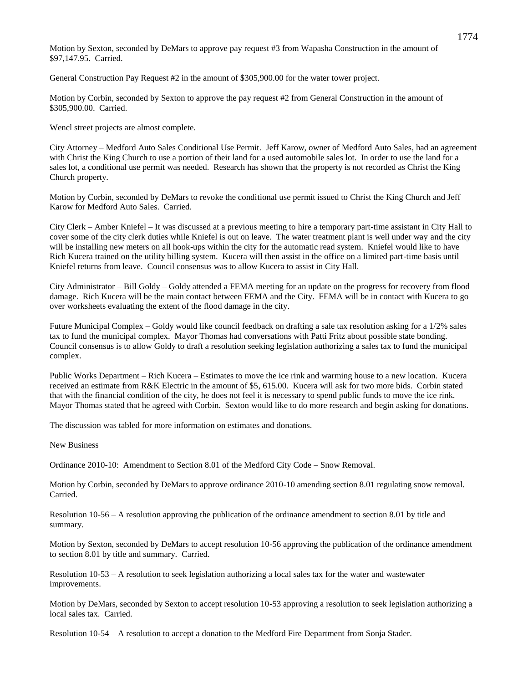Motion by Sexton, seconded by DeMars to approve pay request #3 from Wapasha Construction in the amount of \$97,147.95. Carried.

General Construction Pay Request #2 in the amount of \$305,900.00 for the water tower project.

Motion by Corbin, seconded by Sexton to approve the pay request #2 from General Construction in the amount of \$305,900.00. Carried.

Wencl street projects are almost complete.

City Attorney – Medford Auto Sales Conditional Use Permit. Jeff Karow, owner of Medford Auto Sales, had an agreement with Christ the King Church to use a portion of their land for a used automobile sales lot. In order to use the land for a sales lot, a conditional use permit was needed. Research has shown that the property is not recorded as Christ the King Church property.

Motion by Corbin, seconded by DeMars to revoke the conditional use permit issued to Christ the King Church and Jeff Karow for Medford Auto Sales. Carried.

City Clerk – Amber Kniefel – It was discussed at a previous meeting to hire a temporary part-time assistant in City Hall to cover some of the city clerk duties while Kniefel is out on leave. The water treatment plant is well under way and the city will be installing new meters on all hook-ups within the city for the automatic read system. Kniefel would like to have Rich Kucera trained on the utility billing system. Kucera will then assist in the office on a limited part-time basis until Kniefel returns from leave. Council consensus was to allow Kucera to assist in City Hall.

City Administrator – Bill Goldy – Goldy attended a FEMA meeting for an update on the progress for recovery from flood damage. Rich Kucera will be the main contact between FEMA and the City. FEMA will be in contact with Kucera to go over worksheets evaluating the extent of the flood damage in the city.

Future Municipal Complex – Goldy would like council feedback on drafting a sale tax resolution asking for a 1/2% sales tax to fund the municipal complex. Mayor Thomas had conversations with Patti Fritz about possible state bonding. Council consensus is to allow Goldy to draft a resolution seeking legislation authorizing a sales tax to fund the municipal complex.

Public Works Department – Rich Kucera – Estimates to move the ice rink and warming house to a new location. Kucera received an estimate from R&K Electric in the amount of \$5, 615.00. Kucera will ask for two more bids. Corbin stated that with the financial condition of the city, he does not feel it is necessary to spend public funds to move the ice rink. Mayor Thomas stated that he agreed with Corbin. Sexton would like to do more research and begin asking for donations.

The discussion was tabled for more information on estimates and donations.

New Business

Ordinance 2010-10: Amendment to Section 8.01 of the Medford City Code – Snow Removal.

Motion by Corbin, seconded by DeMars to approve ordinance 2010-10 amending section 8.01 regulating snow removal. Carried.

Resolution 10-56 – A resolution approving the publication of the ordinance amendment to section 8.01 by title and summary.

Motion by Sexton, seconded by DeMars to accept resolution 10-56 approving the publication of the ordinance amendment to section 8.01 by title and summary. Carried.

Resolution 10-53 – A resolution to seek legislation authorizing a local sales tax for the water and wastewater improvements.

Motion by DeMars, seconded by Sexton to accept resolution 10-53 approving a resolution to seek legislation authorizing a local sales tax. Carried.

Resolution 10-54 – A resolution to accept a donation to the Medford Fire Department from Sonja Stader.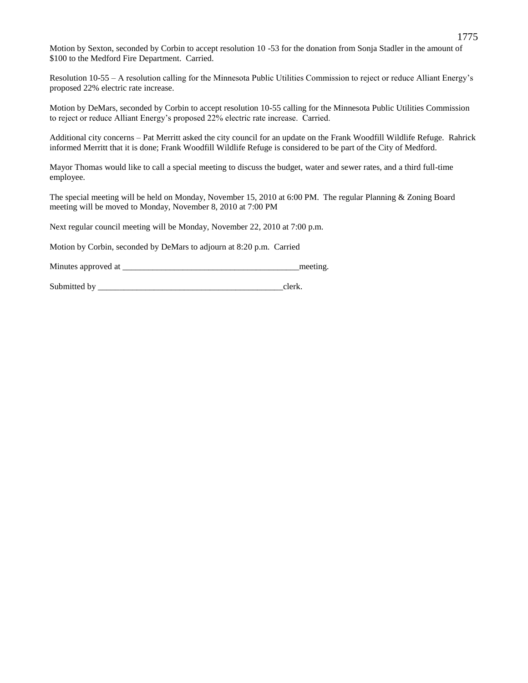Motion by Sexton, seconded by Corbin to accept resolution 10 -53 for the donation from Sonja Stadler in the amount of \$100 to the Medford Fire Department. Carried.

Resolution 10-55 – A resolution calling for the Minnesota Public Utilities Commission to reject or reduce Alliant Energy's proposed 22% electric rate increase.

Motion by DeMars, seconded by Corbin to accept resolution 10-55 calling for the Minnesota Public Utilities Commission to reject or reduce Alliant Energy's proposed 22% electric rate increase. Carried.

Additional city concerns – Pat Merritt asked the city council for an update on the Frank Woodfill Wildlife Refuge. Rahrick informed Merritt that it is done; Frank Woodfill Wildlife Refuge is considered to be part of the City of Medford.

Mayor Thomas would like to call a special meeting to discuss the budget, water and sewer rates, and a third full-time employee.

The special meeting will be held on Monday, November 15, 2010 at 6:00 PM. The regular Planning & Zoning Board meeting will be moved to Monday, November 8, 2010 at 7:00 PM

Next regular council meeting will be Monday, November 22, 2010 at 7:00 p.m.

Motion by Corbin, seconded by DeMars to adjourn at 8:20 p.m. Carried

Minutes approved at \_\_\_\_\_\_\_\_\_\_\_\_\_\_\_\_\_\_\_\_\_\_\_\_\_\_\_\_\_\_\_\_\_\_\_\_\_\_\_\_\_meeting.

Submitted by example of the state of the state of the state of the state of the state of the state of the state of the state of the state of the state of the state of the state of the state of the state of the state of the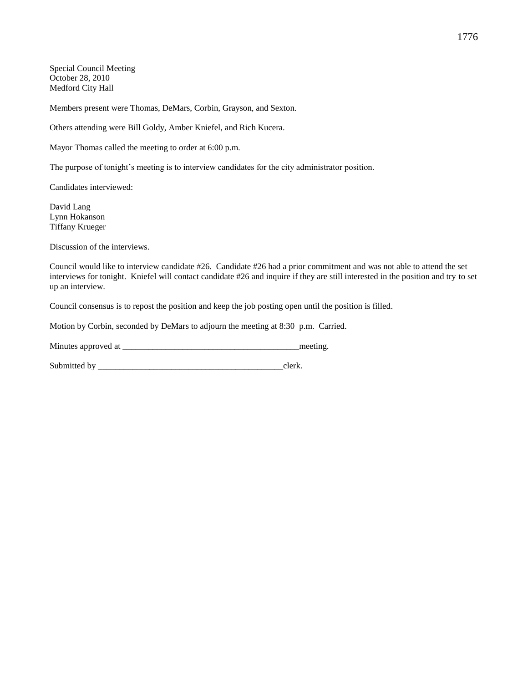Special Council Meeting October 28, 2010 Medford City Hall

Members present were Thomas, DeMars, Corbin, Grayson, and Sexton.

Others attending were Bill Goldy, Amber Kniefel, and Rich Kucera.

Mayor Thomas called the meeting to order at 6:00 p.m.

The purpose of tonight's meeting is to interview candidates for the city administrator position.

Candidates interviewed:

David Lang Lynn Hokanson Tiffany Krueger

Discussion of the interviews.

Council would like to interview candidate #26. Candidate #26 had a prior commitment and was not able to attend the set interviews for tonight. Kniefel will contact candidate #26 and inquire if they are still interested in the position and try to set up an interview.

Council consensus is to repost the position and keep the job posting open until the position is filled.

Motion by Corbin, seconded by DeMars to adjourn the meeting at 8:30 p.m. Carried.

Minutes approved at \_\_\_\_\_\_\_\_\_\_\_\_\_\_\_\_\_\_\_\_\_\_\_\_\_\_\_\_\_\_\_\_\_\_\_\_\_\_\_\_\_meeting.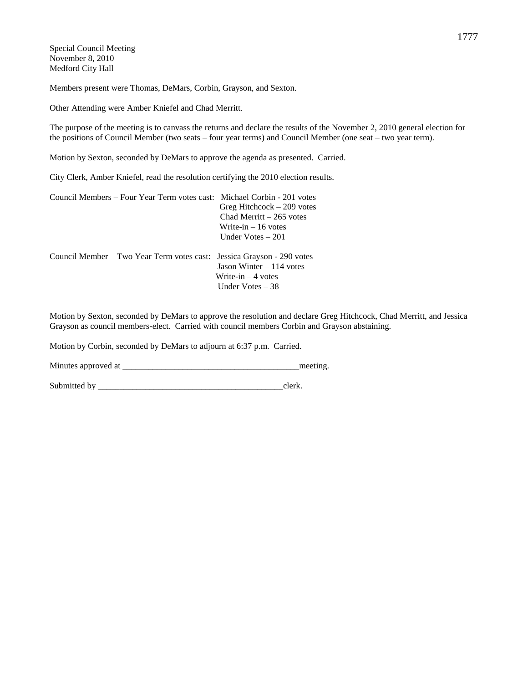Special Council Meeting November 8, 2010 Medford City Hall

Members present were Thomas, DeMars, Corbin, Grayson, and Sexton.

Other Attending were Amber Kniefel and Chad Merritt.

The purpose of the meeting is to canvass the returns and declare the results of the November 2, 2010 general election for the positions of Council Member (two seats – four year terms) and Council Member (one seat – two year term).

Motion by Sexton, seconded by DeMars to approve the agenda as presented. Carried.

City Clerk, Amber Kniefel, read the resolution certifying the 2010 election results.

| Council Members – Four Year Term votes cast: Michael Corbin - 201 votes |                             |
|-------------------------------------------------------------------------|-----------------------------|
|                                                                         | Greg Hitchcock $-209$ votes |
|                                                                         | Chad Merritt $-265$ votes   |
|                                                                         | Write-in $-16$ votes        |
|                                                                         | Under Votes $-201$          |
|                                                                         |                             |
| Council Member – Two Year Term votes cast: Jessica Grayson - 290 votes  |                             |
|                                                                         | Jason Winter $-114$ votes   |
|                                                                         | Write-in $-4$ votes         |
|                                                                         | Under Votes $-38$           |

Motion by Sexton, seconded by DeMars to approve the resolution and declare Greg Hitchcock, Chad Merritt, and Jessica Grayson as council members-elect. Carried with council members Corbin and Grayson abstaining.

Motion by Corbin, seconded by DeMars to adjourn at 6:37 p.m. Carried.

Minutes approved at \_\_\_\_\_\_\_\_\_\_\_\_\_\_\_\_\_\_\_\_\_\_\_\_\_\_\_\_\_\_\_\_\_\_\_\_\_\_\_\_\_meeting.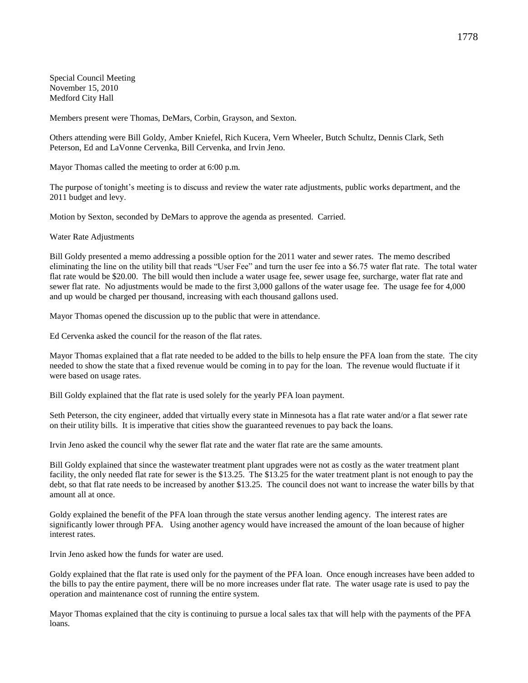Special Council Meeting November 15, 2010 Medford City Hall

Members present were Thomas, DeMars, Corbin, Grayson, and Sexton.

Others attending were Bill Goldy, Amber Kniefel, Rich Kucera, Vern Wheeler, Butch Schultz, Dennis Clark, Seth Peterson, Ed and LaVonne Cervenka, Bill Cervenka, and Irvin Jeno.

Mayor Thomas called the meeting to order at 6:00 p.m.

The purpose of tonight's meeting is to discuss and review the water rate adjustments, public works department, and the 2011 budget and levy.

Motion by Sexton, seconded by DeMars to approve the agenda as presented. Carried.

Water Rate Adjustments

Bill Goldy presented a memo addressing a possible option for the 2011 water and sewer rates. The memo described eliminating the line on the utility bill that reads "User Fee" and turn the user fee into a \$6.75 water flat rate. The total water flat rate would be \$20.00. The bill would then include a water usage fee, sewer usage fee, surcharge, water flat rate and sewer flat rate. No adjustments would be made to the first 3,000 gallons of the water usage fee. The usage fee for 4,000 and up would be charged per thousand, increasing with each thousand gallons used.

Mayor Thomas opened the discussion up to the public that were in attendance.

Ed Cervenka asked the council for the reason of the flat rates.

Mayor Thomas explained that a flat rate needed to be added to the bills to help ensure the PFA loan from the state. The city needed to show the state that a fixed revenue would be coming in to pay for the loan. The revenue would fluctuate if it were based on usage rates.

Bill Goldy explained that the flat rate is used solely for the yearly PFA loan payment.

Seth Peterson, the city engineer, added that virtually every state in Minnesota has a flat rate water and/or a flat sewer rate on their utility bills. It is imperative that cities show the guaranteed revenues to pay back the loans.

Irvin Jeno asked the council why the sewer flat rate and the water flat rate are the same amounts.

Bill Goldy explained that since the wastewater treatment plant upgrades were not as costly as the water treatment plant facility, the only needed flat rate for sewer is the \$13.25. The \$13.25 for the water treatment plant is not enough to pay the debt, so that flat rate needs to be increased by another \$13.25. The council does not want to increase the water bills by that amount all at once.

Goldy explained the benefit of the PFA loan through the state versus another lending agency. The interest rates are significantly lower through PFA. Using another agency would have increased the amount of the loan because of higher interest rates.

Irvin Jeno asked how the funds for water are used.

Goldy explained that the flat rate is used only for the payment of the PFA loan. Once enough increases have been added to the bills to pay the entire payment, there will be no more increases under flat rate. The water usage rate is used to pay the operation and maintenance cost of running the entire system.

Mayor Thomas explained that the city is continuing to pursue a local sales tax that will help with the payments of the PFA loans.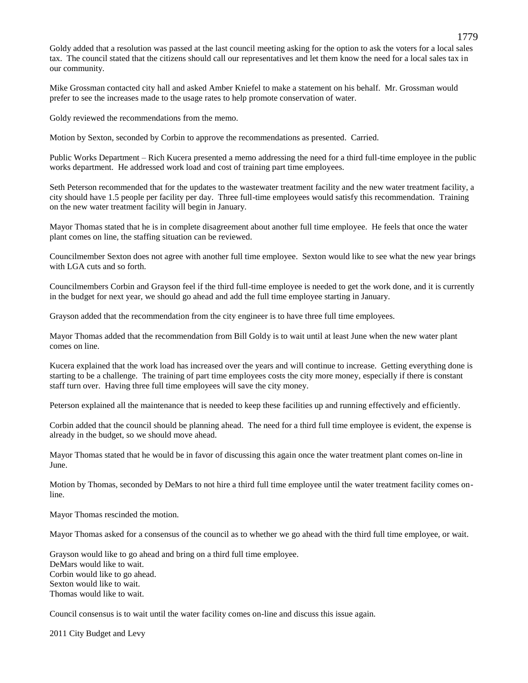Goldy added that a resolution was passed at the last council meeting asking for the option to ask the voters for a local sales tax. The council stated that the citizens should call our representatives and let them know the need for a local sales tax in our community.

Mike Grossman contacted city hall and asked Amber Kniefel to make a statement on his behalf. Mr. Grossman would prefer to see the increases made to the usage rates to help promote conservation of water.

Goldy reviewed the recommendations from the memo.

Motion by Sexton, seconded by Corbin to approve the recommendations as presented. Carried.

Public Works Department – Rich Kucera presented a memo addressing the need for a third full-time employee in the public works department. He addressed work load and cost of training part time employees.

Seth Peterson recommended that for the updates to the wastewater treatment facility and the new water treatment facility, a city should have 1.5 people per facility per day. Three full-time employees would satisfy this recommendation. Training on the new water treatment facility will begin in January.

Mayor Thomas stated that he is in complete disagreement about another full time employee. He feels that once the water plant comes on line, the staffing situation can be reviewed.

Councilmember Sexton does not agree with another full time employee. Sexton would like to see what the new year brings with LGA cuts and so forth.

Councilmembers Corbin and Grayson feel if the third full-time employee is needed to get the work done, and it is currently in the budget for next year, we should go ahead and add the full time employee starting in January.

Grayson added that the recommendation from the city engineer is to have three full time employees.

Mayor Thomas added that the recommendation from Bill Goldy is to wait until at least June when the new water plant comes on line.

Kucera explained that the work load has increased over the years and will continue to increase. Getting everything done is starting to be a challenge. The training of part time employees costs the city more money, especially if there is constant staff turn over. Having three full time employees will save the city money.

Peterson explained all the maintenance that is needed to keep these facilities up and running effectively and efficiently.

Corbin added that the council should be planning ahead. The need for a third full time employee is evident, the expense is already in the budget, so we should move ahead.

Mayor Thomas stated that he would be in favor of discussing this again once the water treatment plant comes on-line in June.

Motion by Thomas, seconded by DeMars to not hire a third full time employee until the water treatment facility comes online.

Mayor Thomas rescinded the motion.

Mayor Thomas asked for a consensus of the council as to whether we go ahead with the third full time employee, or wait.

Grayson would like to go ahead and bring on a third full time employee. DeMars would like to wait. Corbin would like to go ahead. Sexton would like to wait. Thomas would like to wait.

Council consensus is to wait until the water facility comes on-line and discuss this issue again.

2011 City Budget and Levy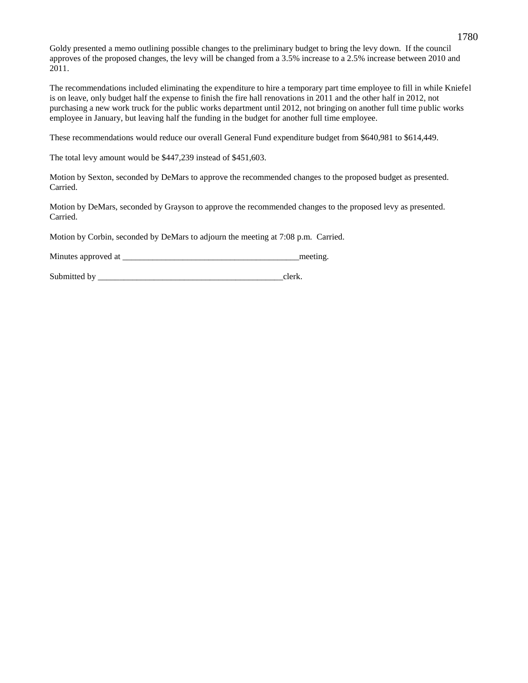Goldy presented a memo outlining possible changes to the preliminary budget to bring the levy down. If the council approves of the proposed changes, the levy will be changed from a 3.5% increase to a 2.5% increase between 2010 and 2011.

The recommendations included eliminating the expenditure to hire a temporary part time employee to fill in while Kniefel is on leave, only budget half the expense to finish the fire hall renovations in 2011 and the other half in 2012, not purchasing a new work truck for the public works department until 2012, not bringing on another full time public works employee in January, but leaving half the funding in the budget for another full time employee.

These recommendations would reduce our overall General Fund expenditure budget from \$640,981 to \$614,449.

The total levy amount would be \$447,239 instead of \$451,603.

Motion by Sexton, seconded by DeMars to approve the recommended changes to the proposed budget as presented. Carried.

Motion by DeMars, seconded by Grayson to approve the recommended changes to the proposed levy as presented. Carried.

Motion by Corbin, seconded by DeMars to adjourn the meeting at 7:08 p.m. Carried.

Minutes approved at \_\_\_\_\_\_\_\_\_\_\_\_\_\_\_\_\_\_\_\_\_\_\_\_\_\_\_\_\_\_\_\_\_\_\_\_\_\_\_\_\_meeting.

Submitted by clerk.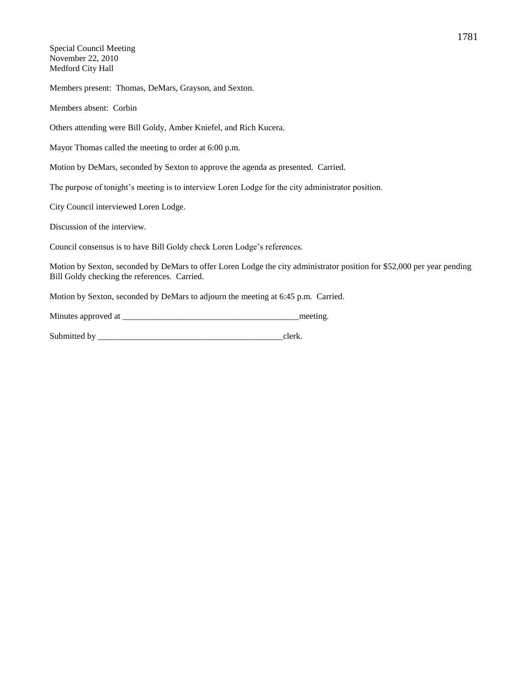Special Council Meeting November 22, 2010 Medford City Hall

Members present: Thomas, DeMars, Grayson, and Sexton.

Members absent: Corbin

Others attending were Bill Goldy, Amber Kniefel, and Rich Kucera.

Mayor Thomas called the meeting to order at 6:00 p.m.

Motion by DeMars, seconded by Sexton to approve the agenda as presented. Carried.

The purpose of tonight's meeting is to interview Loren Lodge for the city administrator position.

City Council interviewed Loren Lodge.

Discussion of the interview.

Council consensus is to have Bill Goldy check Loren Lodge's references.

Motion by Sexton, seconded by DeMars to offer Loren Lodge the city administrator position for \$52,000 per year pending Bill Goldy checking the references. Carried.

Motion by Sexton, seconded by DeMars to adjourn the meeting at 6:45 p.m. Carried.

| Minutes approved at |  | meeting |
|---------------------|--|---------|
|---------------------|--|---------|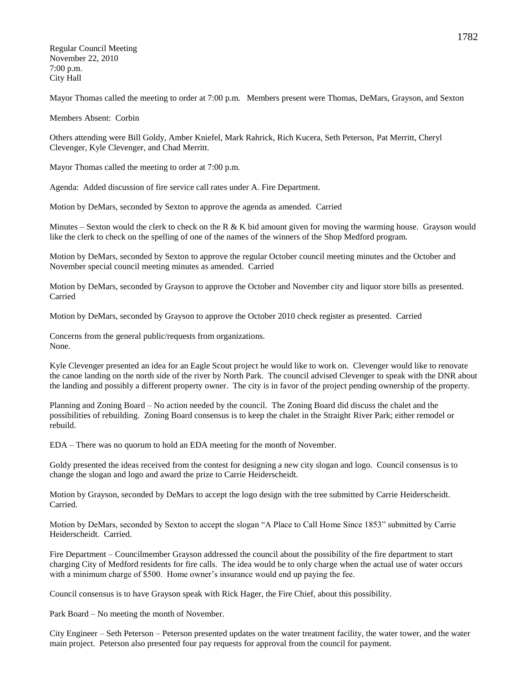Regular Council Meeting November 22, 2010 7:00 p.m. City Hall

Mayor Thomas called the meeting to order at 7:00 p.m. Members present were Thomas, DeMars, Grayson, and Sexton

Members Absent: Corbin

Others attending were Bill Goldy, Amber Kniefel, Mark Rahrick, Rich Kucera, Seth Peterson, Pat Merritt, Cheryl Clevenger, Kyle Clevenger, and Chad Merritt.

Mayor Thomas called the meeting to order at 7:00 p.m.

Agenda: Added discussion of fire service call rates under A. Fire Department.

Motion by DeMars, seconded by Sexton to approve the agenda as amended. Carried

Minutes – Sexton would the clerk to check on the R  $\&$  K bid amount given for moving the warming house. Grayson would like the clerk to check on the spelling of one of the names of the winners of the Shop Medford program.

Motion by DeMars, seconded by Sexton to approve the regular October council meeting minutes and the October and November special council meeting minutes as amended. Carried

Motion by DeMars, seconded by Grayson to approve the October and November city and liquor store bills as presented. Carried

Motion by DeMars, seconded by Grayson to approve the October 2010 check register as presented. Carried

Concerns from the general public/requests from organizations. None.

Kyle Clevenger presented an idea for an Eagle Scout project he would like to work on. Clevenger would like to renovate the canoe landing on the north side of the river by North Park. The council advised Clevenger to speak with the DNR about the landing and possibly a different property owner. The city is in favor of the project pending ownership of the property.

Planning and Zoning Board – No action needed by the council. The Zoning Board did discuss the chalet and the possibilities of rebuilding. Zoning Board consensus is to keep the chalet in the Straight River Park; either remodel or rebuild.

EDA – There was no quorum to hold an EDA meeting for the month of November.

Goldy presented the ideas received from the contest for designing a new city slogan and logo. Council consensus is to change the slogan and logo and award the prize to Carrie Heiderscheidt.

Motion by Grayson, seconded by DeMars to accept the logo design with the tree submitted by Carrie Heiderscheidt. Carried.

Motion by DeMars, seconded by Sexton to accept the slogan "A Place to Call Home Since 1853" submitted by Carrie Heiderscheidt. Carried.

Fire Department – Councilmember Grayson addressed the council about the possibility of the fire department to start charging City of Medford residents for fire calls. The idea would be to only charge when the actual use of water occurs with a minimum charge of \$500. Home owner's insurance would end up paying the fee.

Council consensus is to have Grayson speak with Rick Hager, the Fire Chief, about this possibility.

Park Board – No meeting the month of November.

City Engineer – Seth Peterson – Peterson presented updates on the water treatment facility, the water tower, and the water main project. Peterson also presented four pay requests for approval from the council for payment.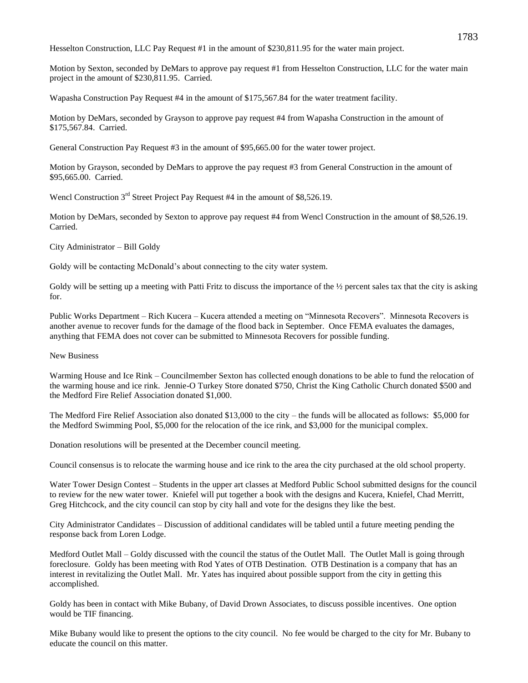Hesselton Construction, LLC Pay Request #1 in the amount of \$230,811.95 for the water main project.

Motion by Sexton, seconded by DeMars to approve pay request #1 from Hesselton Construction, LLC for the water main project in the amount of \$230,811.95. Carried.

Wapasha Construction Pay Request #4 in the amount of \$175,567.84 for the water treatment facility.

Motion by DeMars, seconded by Grayson to approve pay request #4 from Wapasha Construction in the amount of \$175,567.84. Carried.

General Construction Pay Request #3 in the amount of \$95,665.00 for the water tower project.

Motion by Grayson, seconded by DeMars to approve the pay request #3 from General Construction in the amount of \$95,665.00. Carried.

Wencl Construction 3<sup>rd</sup> Street Project Pay Request #4 in the amount of \$8,526.19.

Motion by DeMars, seconded by Sexton to approve pay request #4 from Wencl Construction in the amount of \$8,526.19. Carried.

City Administrator – Bill Goldy

Goldy will be contacting McDonald's about connecting to the city water system.

Goldy will be setting up a meeting with Patti Fritz to discuss the importance of the  $\frac{1}{2}$  percent sales tax that the city is asking for.

Public Works Department – Rich Kucera – Kucera attended a meeting on "Minnesota Recovers". Minnesota Recovers is another avenue to recover funds for the damage of the flood back in September. Once FEMA evaluates the damages, anything that FEMA does not cover can be submitted to Minnesota Recovers for possible funding.

New Business

Warming House and Ice Rink – Councilmember Sexton has collected enough donations to be able to fund the relocation of the warming house and ice rink. Jennie-O Turkey Store donated \$750, Christ the King Catholic Church donated \$500 and the Medford Fire Relief Association donated \$1,000.

The Medford Fire Relief Association also donated \$13,000 to the city – the funds will be allocated as follows: \$5,000 for the Medford Swimming Pool, \$5,000 for the relocation of the ice rink, and \$3,000 for the municipal complex.

Donation resolutions will be presented at the December council meeting.

Council consensus is to relocate the warming house and ice rink to the area the city purchased at the old school property.

Water Tower Design Contest – Students in the upper art classes at Medford Public School submitted designs for the council to review for the new water tower. Kniefel will put together a book with the designs and Kucera, Kniefel, Chad Merritt, Greg Hitchcock, and the city council can stop by city hall and vote for the designs they like the best.

City Administrator Candidates – Discussion of additional candidates will be tabled until a future meeting pending the response back from Loren Lodge.

Medford Outlet Mall – Goldy discussed with the council the status of the Outlet Mall. The Outlet Mall is going through foreclosure. Goldy has been meeting with Rod Yates of OTB Destination. OTB Destination is a company that has an interest in revitalizing the Outlet Mall. Mr. Yates has inquired about possible support from the city in getting this accomplished.

Goldy has been in contact with Mike Bubany, of David Drown Associates, to discuss possible incentives. One option would be TIF financing.

Mike Bubany would like to present the options to the city council. No fee would be charged to the city for Mr. Bubany to educate the council on this matter.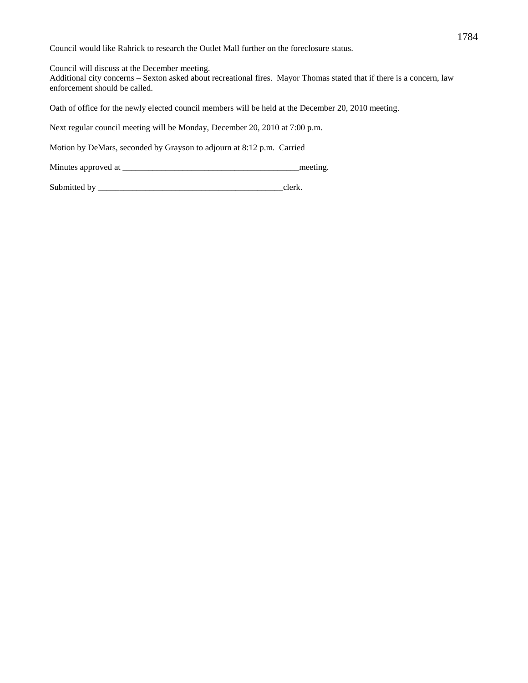Council would like Rahrick to research the Outlet Mall further on the foreclosure status.

Council will discuss at the December meeting.

Additional city concerns – Sexton asked about recreational fires. Mayor Thomas stated that if there is a concern, law enforcement should be called.

Oath of office for the newly elected council members will be held at the December 20, 2010 meeting.

Next regular council meeting will be Monday, December 20, 2010 at 7:00 p.m.

Motion by DeMars, seconded by Grayson to adjourn at 8:12 p.m. Carried

Minutes approved at \_\_\_\_\_\_\_\_\_\_\_\_\_\_\_\_\_\_\_\_\_\_\_\_\_\_\_\_\_\_\_\_\_\_\_\_\_\_\_\_\_meeting.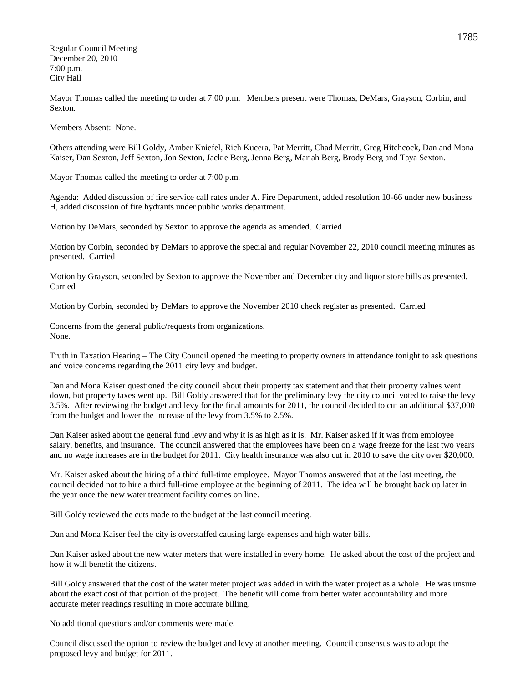Regular Council Meeting December 20, 2010 7:00 p.m. City Hall

Mayor Thomas called the meeting to order at 7:00 p.m. Members present were Thomas, DeMars, Grayson, Corbin, and Sexton.

Members Absent: None.

Others attending were Bill Goldy, Amber Kniefel, Rich Kucera, Pat Merritt, Chad Merritt, Greg Hitchcock, Dan and Mona Kaiser, Dan Sexton, Jeff Sexton, Jon Sexton, Jackie Berg, Jenna Berg, Mariah Berg, Brody Berg and Taya Sexton.

Mayor Thomas called the meeting to order at 7:00 p.m.

Agenda: Added discussion of fire service call rates under A. Fire Department, added resolution 10-66 under new business H, added discussion of fire hydrants under public works department.

Motion by DeMars, seconded by Sexton to approve the agenda as amended. Carried

Motion by Corbin, seconded by DeMars to approve the special and regular November 22, 2010 council meeting minutes as presented. Carried

Motion by Grayson, seconded by Sexton to approve the November and December city and liquor store bills as presented. Carried

Motion by Corbin, seconded by DeMars to approve the November 2010 check register as presented. Carried

Concerns from the general public/requests from organizations. None.

Truth in Taxation Hearing – The City Council opened the meeting to property owners in attendance tonight to ask questions and voice concerns regarding the 2011 city levy and budget.

Dan and Mona Kaiser questioned the city council about their property tax statement and that their property values went down, but property taxes went up. Bill Goldy answered that for the preliminary levy the city council voted to raise the levy 3.5%. After reviewing the budget and levy for the final amounts for 2011, the council decided to cut an additional \$37,000 from the budget and lower the increase of the levy from 3.5% to 2.5%.

Dan Kaiser asked about the general fund levy and why it is as high as it is. Mr. Kaiser asked if it was from employee salary, benefits, and insurance. The council answered that the employees have been on a wage freeze for the last two years and no wage increases are in the budget for 2011. City health insurance was also cut in 2010 to save the city over \$20,000.

Mr. Kaiser asked about the hiring of a third full-time employee. Mayor Thomas answered that at the last meeting, the council decided not to hire a third full-time employee at the beginning of 2011. The idea will be brought back up later in the year once the new water treatment facility comes on line.

Bill Goldy reviewed the cuts made to the budget at the last council meeting.

Dan and Mona Kaiser feel the city is overstaffed causing large expenses and high water bills.

Dan Kaiser asked about the new water meters that were installed in every home. He asked about the cost of the project and how it will benefit the citizens.

Bill Goldy answered that the cost of the water meter project was added in with the water project as a whole. He was unsure about the exact cost of that portion of the project. The benefit will come from better water accountability and more accurate meter readings resulting in more accurate billing.

No additional questions and/or comments were made.

Council discussed the option to review the budget and levy at another meeting. Council consensus was to adopt the proposed levy and budget for 2011.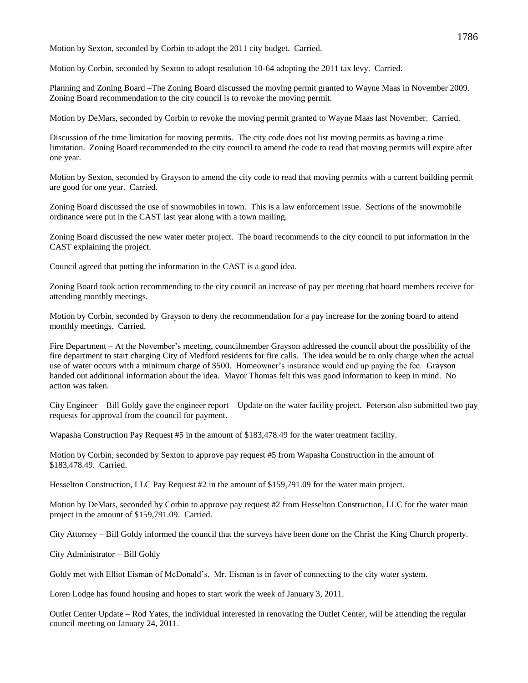Motion by Sexton, seconded by Corbin to adopt the 2011 city budget. Carried.

Motion by Corbin, seconded by Sexton to adopt resolution 10-64 adopting the 2011 tax levy. Carried.

Planning and Zoning Board –The Zoning Board discussed the moving permit granted to Wayne Maas in November 2009. Zoning Board recommendation to the city council is to revoke the moving permit.

Motion by DeMars, seconded by Corbin to revoke the moving permit granted to Wayne Maas last November. Carried.

Discussion of the time limitation for moving permits. The city code does not list moving permits as having a time limitation. Zoning Board recommended to the city council to amend the code to read that moving permits will expire after one year.

Motion by Sexton, seconded by Grayson to amend the city code to read that moving permits with a current building permit are good for one year. Carried.

Zoning Board discussed the use of snowmobiles in town. This is a law enforcement issue. Sections of the snowmobile ordinance were put in the CAST last year along with a town mailing.

Zoning Board discussed the new water meter project. The board recommends to the city council to put information in the CAST explaining the project.

Council agreed that putting the information in the CAST is a good idea.

Zoning Board took action recommending to the city council an increase of pay per meeting that board members receive for attending monthly meetings.

Motion by Corbin, seconded by Grayson to deny the recommendation for a pay increase for the zoning board to attend monthly meetings. Carried.

Fire Department – At the November's meeting, councilmember Grayson addressed the council about the possibility of the fire department to start charging City of Medford residents for fire calls. The idea would be to only charge when the actual use of water occurs with a minimum charge of \$500. Homeowner's insurance would end up paying the fee. Grayson handed out additional information about the idea. Mayor Thomas felt this was good information to keep in mind. No action was taken.

City Engineer – Bill Goldy gave the engineer report – Update on the water facility project. Peterson also submitted two pay requests for approval from the council for payment.

Wapasha Construction Pay Request #5 in the amount of \$183,478.49 for the water treatment facility.

Motion by Corbin, seconded by Sexton to approve pay request #5 from Wapasha Construction in the amount of \$183,478.49. Carried.

Hesselton Construction, LLC Pay Request #2 in the amount of \$159,791.09 for the water main project.

Motion by DeMars, seconded by Corbin to approve pay request #2 from Hesselton Construction, LLC for the water main project in the amount of \$159,791.09. Carried.

City Attorney – Bill Goldy informed the council that the surveys have been done on the Christ the King Church property.

City Administrator – Bill Goldy

Goldy met with Elliot Eisman of McDonald's. Mr. Eisman is in favor of connecting to the city water system.

Loren Lodge has found housing and hopes to start work the week of January 3, 2011.

Outlet Center Update – Rod Yates, the individual interested in renovating the Outlet Center, will be attending the regular council meeting on January 24, 2011.